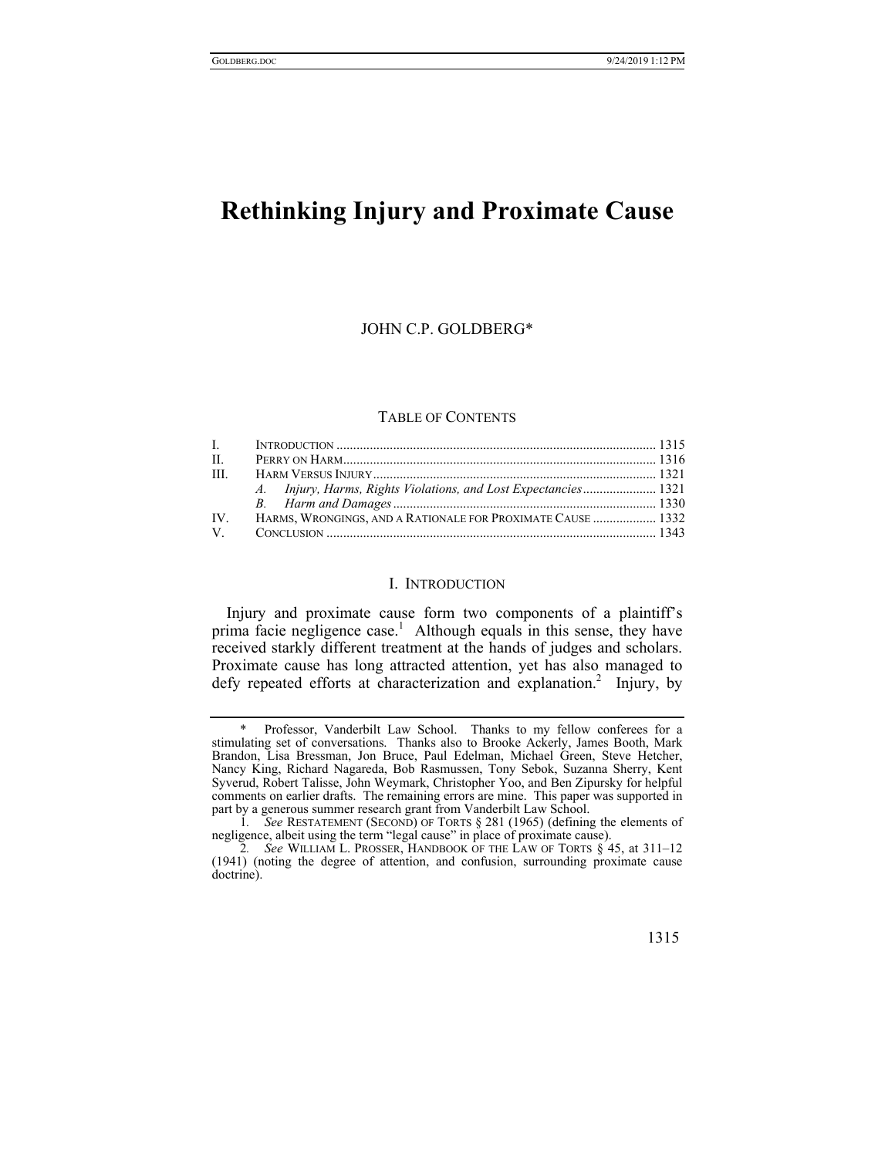# **Rethinking Injury and Proximate Cause**

## JOHN C.P. GOLDBERG\*

# TABLE OF CONTENTS

| $\Pi$ .  |                                                                 |  |
|----------|-----------------------------------------------------------------|--|
| III.     |                                                                 |  |
|          | A. Injury, Harms, Rights Violations, and Lost Expectancies 1321 |  |
|          |                                                                 |  |
| $IV_{-}$ | HARMS, WRONGINGS, AND A RATIONALE FOR PROXIMATE CAUSE  1332     |  |
|          |                                                                 |  |

#### I. INTRODUCTION

Injury and proximate cause form two components of a plaintiff's prima facie negligence case.<sup>1</sup> Although equals in this sense, they have received starkly different treatment at the hands of judges and scholars. Proximate cause has long attracted attention, yet has also managed to defy repeated efforts at characterization and explanation.<sup>2</sup> Injury, by

<sup>2.</sup> See WILLIAM L. PROSSER, HANDBOOK OF THE LAW OF TORTS  $\S$  45, at 311–12 (1941) (noting the degree of attention, and confusion, surrounding proximate cause doctrine).



Professor, Vanderbilt Law School. Thanks to my fellow conferees for a stimulating set of conversations. Thanks also to Brooke Ackerly, James Booth, Mark Brandon, Lisa Bressman, Jon Bruce, Paul Edelman, Michael Green, Steve Hetcher, Nancy King, Richard Nagareda, Bob Rasmussen, Tony Sebok, Suzanna Sherry, Kent Syverud, Robert Talisse, John Weymark, Christopher Yoo, and Ben Zipursky for helpful comments on earlier drafts. The remaining errors are mine. This paper was supported in part by a generous summer research grant from Vanderbilt Law School.

<sup>1</sup>*. See* RESTATEMENT (SECOND) OF TORTS § 281 (1965) (defining the elements of negligence, albeit using the term "legal cause" in place of proximate cause).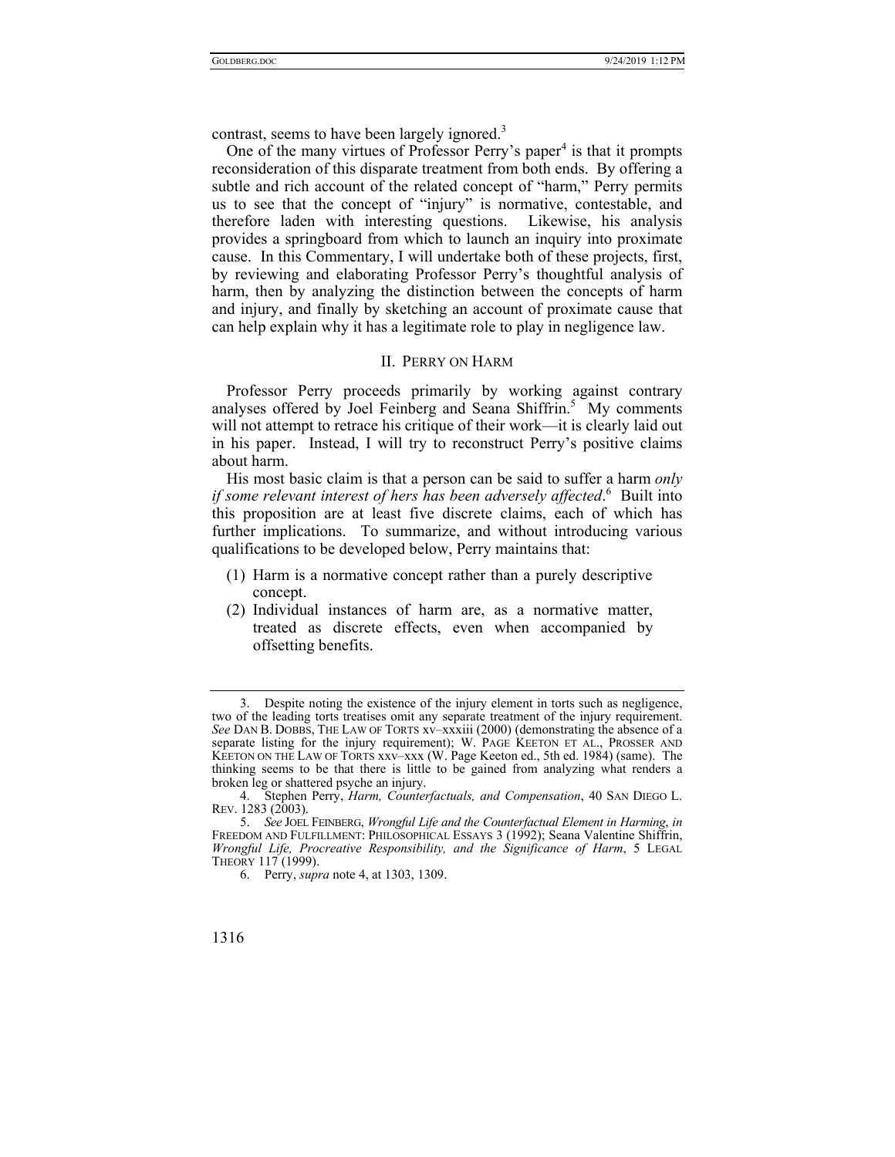contrast, seems to have been largely ignored.<sup>3</sup>

One of the many virtues of Professor Perry's paper<sup>4</sup> is that it prompts reconsideration of this disparate treatment from both ends. By offering a subtle and rich account of the related concept of "harm," Perry permits us to see that the concept of "injury" is normative, contestable, and therefore laden with interesting questions. Likewise, his analysis provides a springboard from which to launch an inquiry into proximate cause. In this Commentary, I will undertake both of these projects, first, by reviewing and elaborating Professor Perry's thoughtful analysis of harm, then by analyzing the distinction between the concepts of harm and injury, and finally by sketching an account of proximate cause that can help explain why it has a legitimate role to play in negligence law.

## II. PERRY ON HARM

Professor Perry proceeds primarily by working against contrary analyses offered by Joel Feinberg and Seana Shiffrin.<sup>5</sup> My comments will not attempt to retrace his critique of their work—it is clearly laid out in his paper. Instead, I will try to reconstruct Perry's positive claims about harm.

His most basic claim is that a person can be said to suffer a harm *only if some relevant interest of hers has been adversely affected*. 6 Built into this proposition are at least five discrete claims, each of which has further implications. To summarize, and without introducing various qualifications to be developed below, Perry maintains that:

- (1) Harm is a normative concept rather than a purely descriptive concept.
- (2) Individual instances of harm are, as a normative matter, treated as discrete effects, even when accompanied by offsetting benefits.

 <sup>3.</sup> Despite noting the existence of the injury element in torts such as negligence, two of the leading torts treatises omit any separate treatment of the injury requirement. *See* DAN B. DOBBS, THE LAW OF TORTS xv–xxxiii (2000) (demonstrating the absence of a separate listing for the injury requirement); W. PAGE KEETON ET AL., PROSSER AND KEETON ON THE LAW OF TORTS xxv–xxx (W. Page Keeton ed., 5th ed. 1984) (same). The thinking seems to be that there is little to be gained from analyzing what renders a broken leg or shattered psyche an injury.

 <sup>4.</sup> Stephen Perry, *Harm, Counterfactuals, and Compensation*, 40 SAN DIEGO L. REV. 1283 (2003).

 <sup>5.</sup> *See* JOEL FEINBERG, *Wrongful Life and the Counterfactual Element in Harming*, *in* FREEDOM AND FULFILLMENT: PHILOSOPHICAL ESSAYS 3 (1992); Seana Valentine Shiffrin, *Wrongful Life, Procreative Responsibility, and the Significance of Harm*, 5 LEGAL THEORY 117 (1999).

 <sup>6.</sup> Perry, *supra* note 4, at 1303, 1309.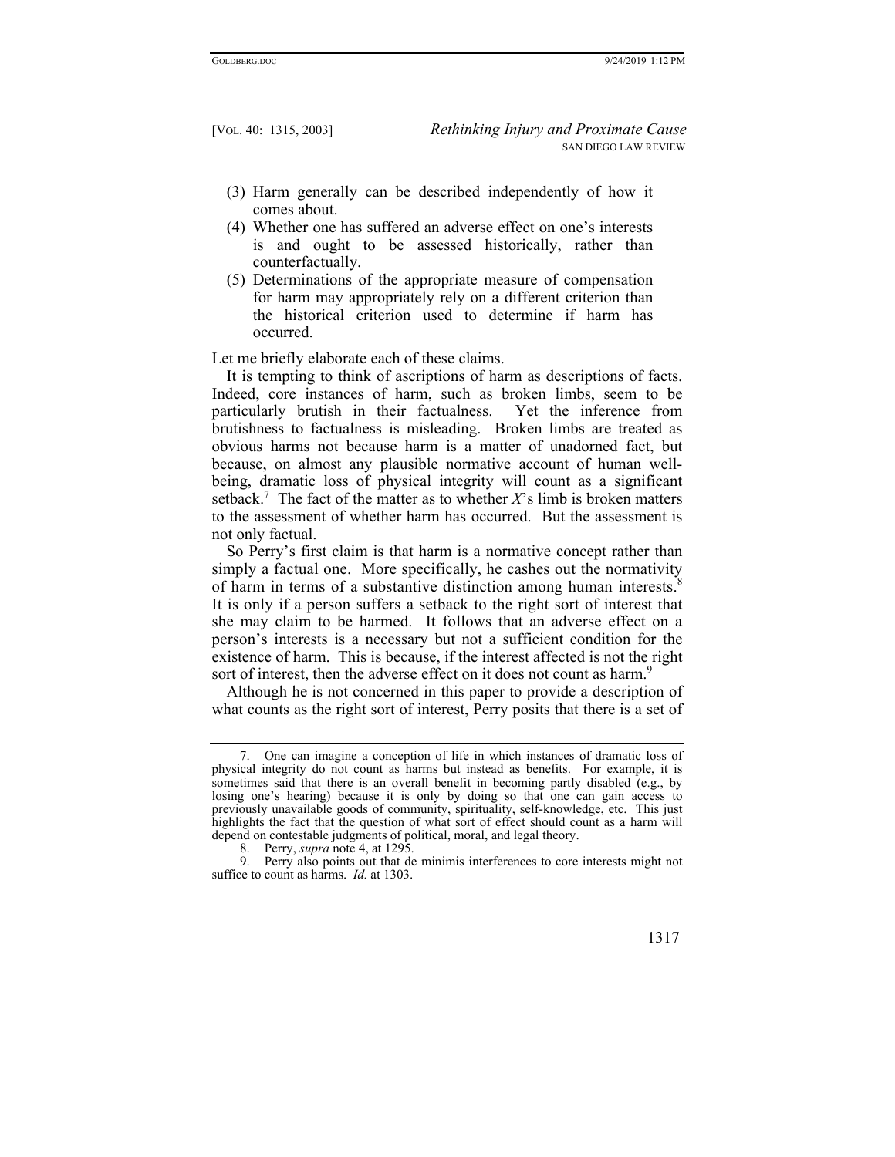- (3) Harm generally can be described independently of how it comes about.
- (4) Whether one has suffered an adverse effect on one's interests is and ought to be assessed historically, rather than counterfactually.
- (5) Determinations of the appropriate measure of compensation for harm may appropriately rely on a different criterion than the historical criterion used to determine if harm has occurred.

Let me briefly elaborate each of these claims.

It is tempting to think of ascriptions of harm as descriptions of facts. Indeed, core instances of harm, such as broken limbs, seem to be particularly brutish in their factualness. Yet the inference from brutishness to factualness is misleading. Broken limbs are treated as obvious harms not because harm is a matter of unadorned fact, but because, on almost any plausible normative account of human wellbeing, dramatic loss of physical integrity will count as a significant setback.<sup>7</sup> The fact of the matter as to whether  $X$ 's limb is broken matters to the assessment of whether harm has occurred. But the assessment is not only factual.

So Perry's first claim is that harm is a normative concept rather than simply a factual one. More specifically, he cashes out the normativity of harm in terms of a substantive distinction among human interests.<sup>8</sup> It is only if a person suffers a setback to the right sort of interest that she may claim to be harmed. It follows that an adverse effect on a person's interests is a necessary but not a sufficient condition for the existence of harm. This is because, if the interest affected is not the right sort of interest, then the adverse effect on it does not count as harm.<sup>9</sup>

Although he is not concerned in this paper to provide a description of what counts as the right sort of interest, Perry posits that there is a set of

 <sup>9.</sup> Perry also points out that de minimis interferences to core interests might not suffice to count as harms. *Id.* at 1303.



 <sup>7.</sup> One can imagine a conception of life in which instances of dramatic loss of physical integrity do not count as harms but instead as benefits. For example, it is sometimes said that there is an overall benefit in becoming partly disabled (e.g., by losing one's hearing) because it is only by doing so that one can gain access to previously unavailable goods of community, spirituality, self-knowledge, etc. This just highlights the fact that the question of what sort of effect should count as a harm will depend on contestable judgments of political, moral, and legal theory.

 <sup>8.</sup> Perry, *supra* note 4, at 1295.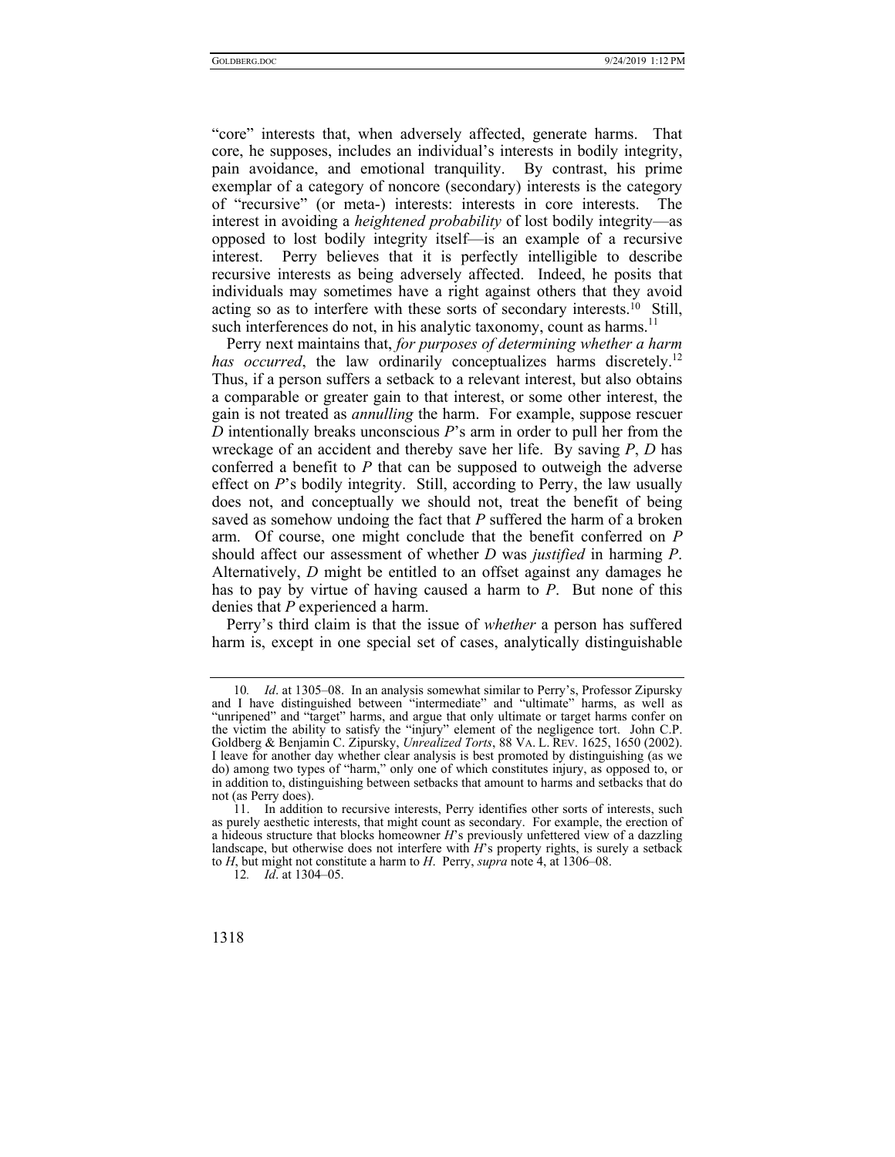"core" interests that, when adversely affected, generate harms. That core, he supposes, includes an individual's interests in bodily integrity, pain avoidance, and emotional tranquility. By contrast, his prime exemplar of a category of noncore (secondary) interests is the category of "recursive" (or meta-) interests: interests in core interests. The interest in avoiding a *heightened probability* of lost bodily integrity—as opposed to lost bodily integrity itself—is an example of a recursive interest. Perry believes that it is perfectly intelligible to describe recursive interests as being adversely affected. Indeed, he posits that individuals may sometimes have a right against others that they avoid acting so as to interfere with these sorts of secondary interests.<sup>10</sup> Still, such interferences do not, in his analytic taxonomy, count as harms.<sup>11</sup>

Perry next maintains that, *for purposes of determining whether a harm has occurred*, the law ordinarily conceptualizes harms discretely.<sup>12</sup> Thus, if a person suffers a setback to a relevant interest, but also obtains a comparable or greater gain to that interest, or some other interest, the gain is not treated as *annulling* the harm. For example, suppose rescuer *D* intentionally breaks unconscious *P*'s arm in order to pull her from the wreckage of an accident and thereby save her life. By saving *P*, *D* has conferred a benefit to *P* that can be supposed to outweigh the adverse effect on *P*'s bodily integrity. Still, according to Perry, the law usually does not, and conceptually we should not, treat the benefit of being saved as somehow undoing the fact that *P* suffered the harm of a broken arm. Of course, one might conclude that the benefit conferred on *P*  should affect our assessment of whether *D* was *justified* in harming *P*. Alternatively, *D* might be entitled to an offset against any damages he has to pay by virtue of having caused a harm to *P*. But none of this denies that *P* experienced a harm.

Perry's third claim is that the issue of *whether* a person has suffered harm is, except in one special set of cases, analytically distinguishable

<sup>12</sup>*. Id*. at 1304–05.



<sup>10</sup>*. Id*. at 1305–08. In an analysis somewhat similar to Perry's, Professor Zipursky and I have distinguished between "intermediate" and "ultimate" harms, as well as "unripened" and "target" harms, and argue that only ultimate or target harms confer on the victim the ability to satisfy the "injury" element of the negligence tort. John C.P. Goldberg & Benjamin C. Zipursky, *Unrealized Torts*, 88 VA. L. REV. 1625, 1650 (2002). I leave for another day whether clear analysis is best promoted by distinguishing (as we do) among two types of "harm," only one of which constitutes injury, as opposed to, or in addition to, distinguishing between setbacks that amount to harms and setbacks that do not (as Perry does).

 <sup>11.</sup> In addition to recursive interests, Perry identifies other sorts of interests, such as purely aesthetic interests, that might count as secondary. For example, the erection of a hideous structure that blocks homeowner *H*'s previously unfettered view of a dazzling landscape, but otherwise does not interfere with *H*'s property rights, is surely a setback to *H*, but might not constitute a harm to *H*. Perry, *supra* note 4, at 1306–08.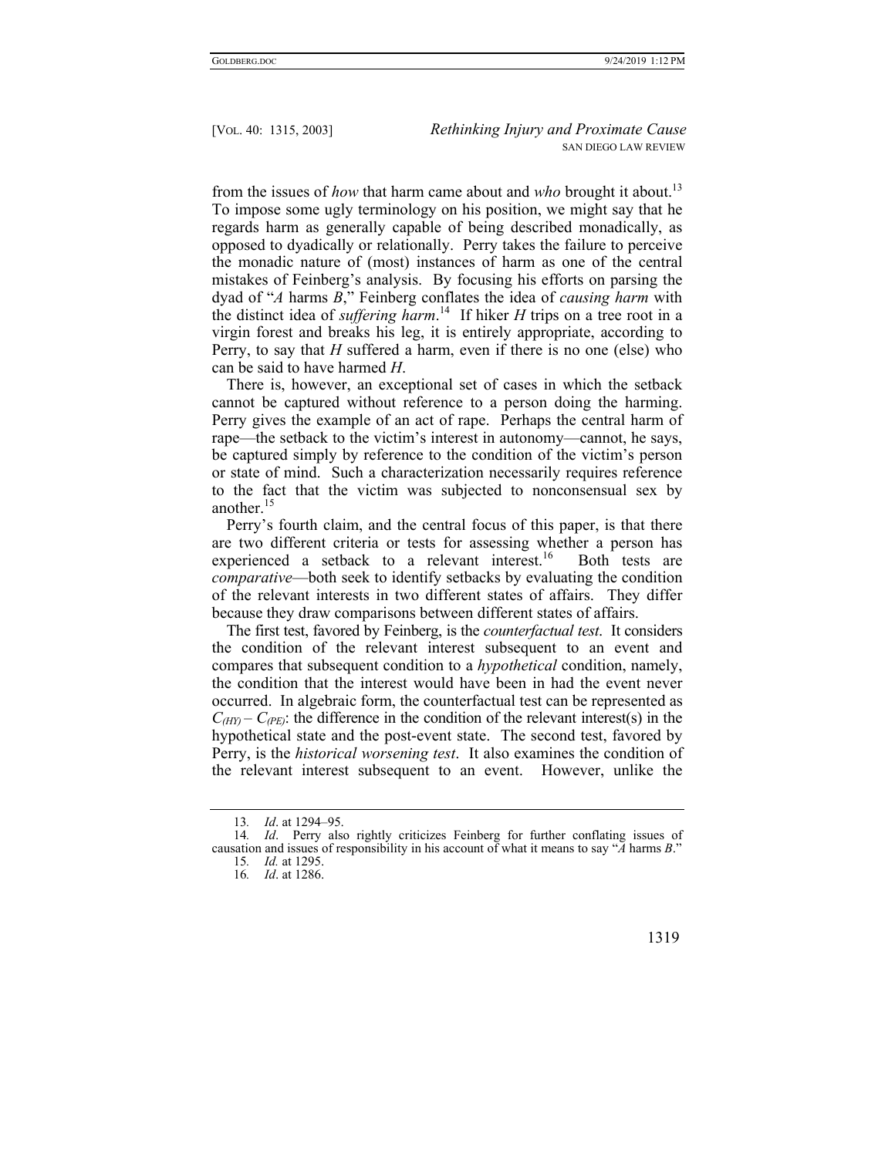from the issues of *how* that harm came about and *who* brought it about.13 To impose some ugly terminology on his position, we might say that he regards harm as generally capable of being described monadically, as opposed to dyadically or relationally. Perry takes the failure to perceive the monadic nature of (most) instances of harm as one of the central mistakes of Feinberg's analysis. By focusing his efforts on parsing the dyad of "*A* harms *B*," Feinberg conflates the idea of *causing harm* with the distinct idea of *suffering harm*. 14 If hiker *H* trips on a tree root in a virgin forest and breaks his leg, it is entirely appropriate, according to Perry, to say that *H* suffered a harm, even if there is no one (else) who can be said to have harmed *H*.

There is, however, an exceptional set of cases in which the setback cannot be captured without reference to a person doing the harming. Perry gives the example of an act of rape. Perhaps the central harm of rape—the setback to the victim's interest in autonomy—cannot, he says, be captured simply by reference to the condition of the victim's person or state of mind. Such a characterization necessarily requires reference to the fact that the victim was subjected to nonconsensual sex by another.<sup>15</sup>

Perry's fourth claim, and the central focus of this paper, is that there are two different criteria or tests for assessing whether a person has experienced a setback to a relevant interest.<sup>16</sup> Both tests are *comparative*—both seek to identify setbacks by evaluating the condition of the relevant interests in two different states of affairs. They differ because they draw comparisons between different states of affairs.

The first test, favored by Feinberg, is the *counterfactual test*. It considers the condition of the relevant interest subsequent to an event and compares that subsequent condition to a *hypothetical* condition, namely, the condition that the interest would have been in had the event never occurred. In algebraic form, the counterfactual test can be represented as  $C_{(HT)} - C_{(PE)}$ : the difference in the condition of the relevant interest(s) in the hypothetical state and the post-event state. The second test, favored by Perry, is the *historical worsening test*. It also examines the condition of the relevant interest subsequent to an event. However, unlike the

<sup>16</sup>*. Id*. at 1286.



<sup>13</sup>*. Id*. at 1294–95.

<sup>14</sup>*. Id*. Perry also rightly criticizes Feinberg for further conflating issues of causation and issues of responsibility in his account of what it means to say "*A* harms *B*."

<sup>15</sup>*. Id.* at 1295.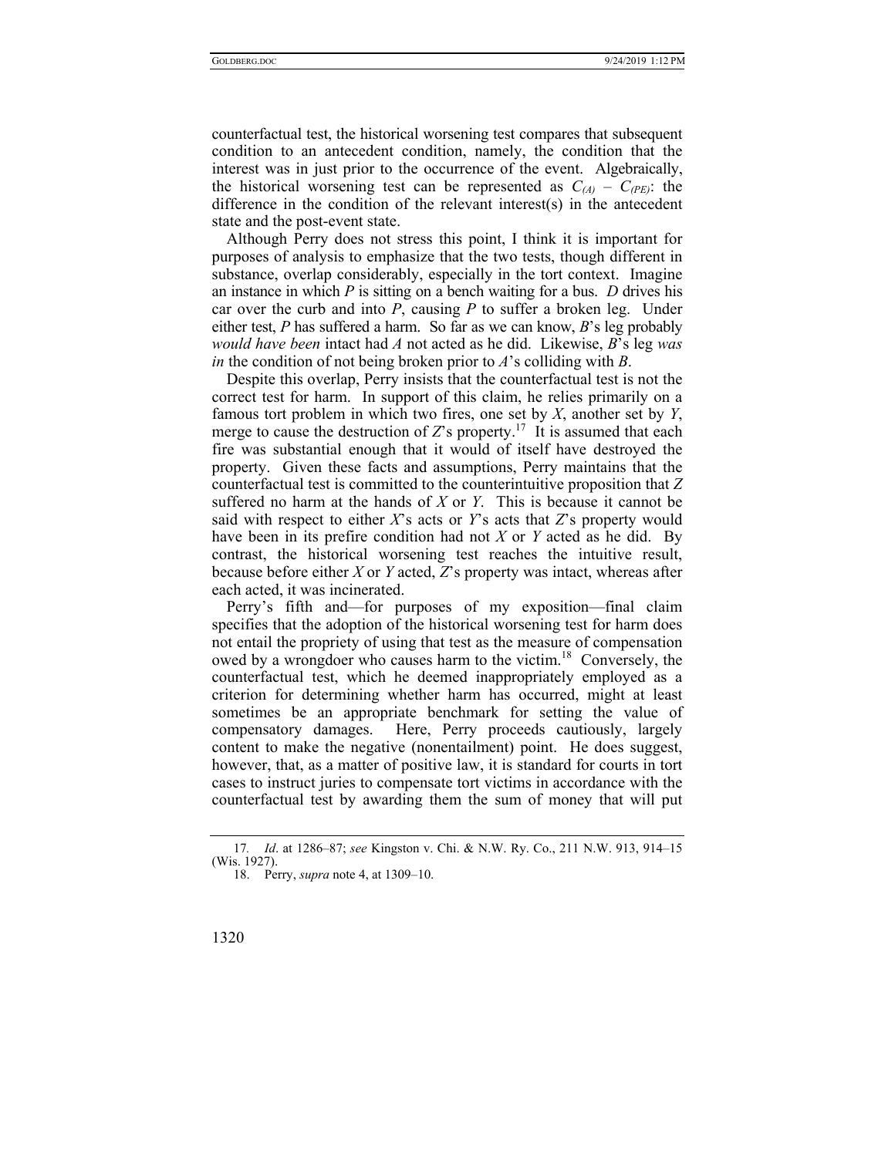counterfactual test, the historical worsening test compares that subsequent condition to an antecedent condition, namely, the condition that the interest was in just prior to the occurrence of the event. Algebraically, the historical worsening test can be represented as  $C_{(A)} - C_{(PE)}$ : the difference in the condition of the relevant interest(s) in the antecedent state and the post-event state.

Although Perry does not stress this point, I think it is important for purposes of analysis to emphasize that the two tests, though different in substance, overlap considerably, especially in the tort context. Imagine an instance in which *P* is sitting on a bench waiting for a bus. *D* drives his car over the curb and into  $P$ , causing  $P$  to suffer a broken leg. Under either test, *P* has suffered a harm. So far as we can know, *B*'s leg probably *would have been* intact had *A* not acted as he did. Likewise, *B*'s leg *was in* the condition of not being broken prior to *A*'s colliding with *B*.

Despite this overlap, Perry insists that the counterfactual test is not the correct test for harm. In support of this claim, he relies primarily on a famous tort problem in which two fires, one set by *X*, another set by *Y*, merge to cause the destruction of  $Z$ 's property.<sup>17</sup> It is assumed that each fire was substantial enough that it would of itself have destroyed the property. Given these facts and assumptions, Perry maintains that the counterfactual test is committed to the counterintuitive proposition that *Z* suffered no harm at the hands of *X* or *Y*. This is because it cannot be said with respect to either *X*'s acts or *Y*'s acts that *Z*'s property would have been in its prefire condition had not *X* or *Y* acted as he did. By contrast, the historical worsening test reaches the intuitive result, because before either *X* or *Y* acted, *Z*'s property was intact, whereas after each acted, it was incinerated.

Perry's fifth and—for purposes of my exposition—final claim specifies that the adoption of the historical worsening test for harm does not entail the propriety of using that test as the measure of compensation owed by a wrongdoer who causes harm to the victim.<sup>18</sup> Conversely, the counterfactual test, which he deemed inappropriately employed as a criterion for determining whether harm has occurred, might at least sometimes be an appropriate benchmark for setting the value of compensatory damages. Here, Perry proceeds cautiously, largely content to make the negative (nonentailment) point. He does suggest, however, that, as a matter of positive law, it is standard for courts in tort cases to instruct juries to compensate tort victims in accordance with the counterfactual test by awarding them the sum of money that will put

<sup>17</sup>*. Id*. at 1286–87; *see* Kingston v. Chi. & N.W. Ry. Co., 211 N.W. 913, 914–15 (Wis. 1927).

 <sup>18.</sup> Perry, *supra* note 4, at 1309–10.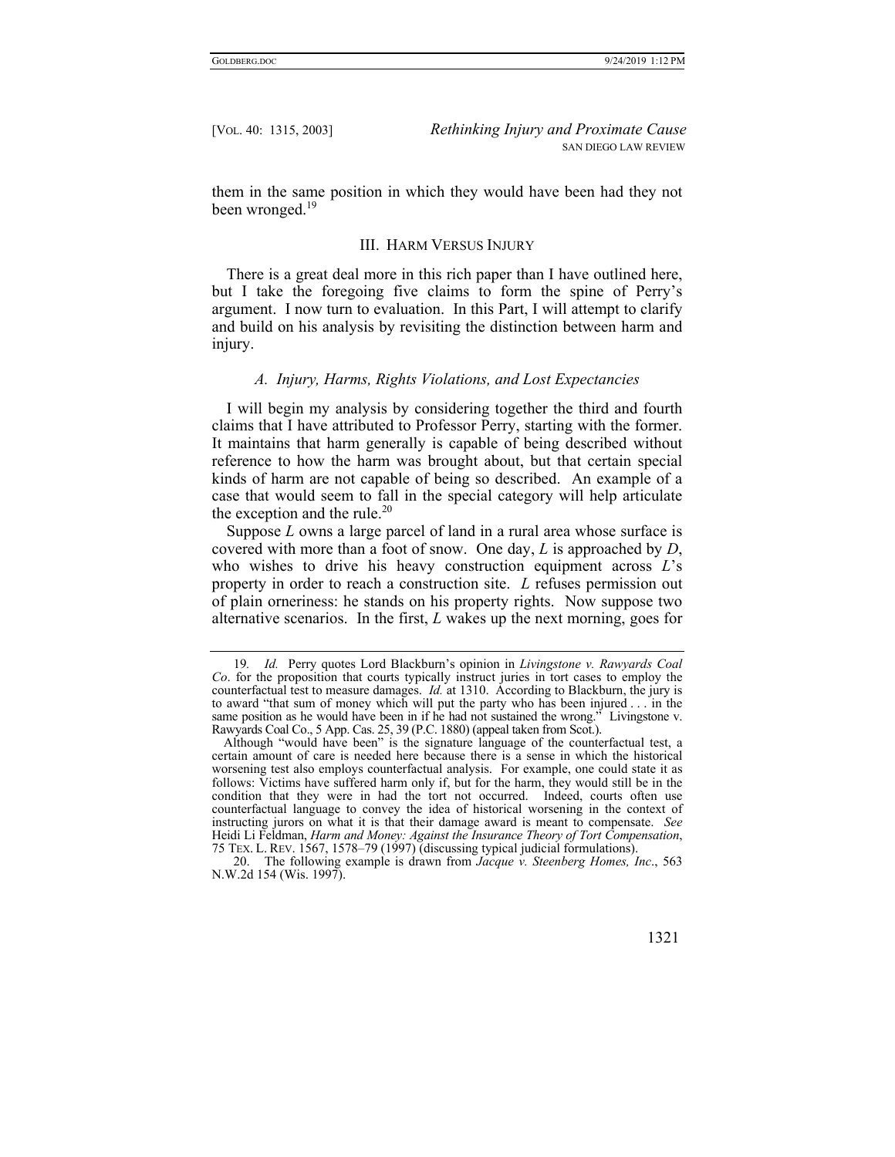them in the same position in which they would have been had they not been wronged.<sup>19</sup>

#### III. HARM VERSUS INJURY

There is a great deal more in this rich paper than I have outlined here, but I take the foregoing five claims to form the spine of Perry's argument. I now turn to evaluation. In this Part, I will attempt to clarify and build on his analysis by revisiting the distinction between harm and injury.

#### *A. Injury, Harms, Rights Violations, and Lost Expectancies*

I will begin my analysis by considering together the third and fourth claims that I have attributed to Professor Perry, starting with the former. It maintains that harm generally is capable of being described without reference to how the harm was brought about, but that certain special kinds of harm are not capable of being so described. An example of a case that would seem to fall in the special category will help articulate the exception and the rule. $20$ 

Suppose *L* owns a large parcel of land in a rural area whose surface is covered with more than a foot of snow. One day, *L* is approached by *D*, who wishes to drive his heavy construction equipment across *L*'s property in order to reach a construction site. *L* refuses permission out of plain orneriness: he stands on his property rights. Now suppose two alternative scenarios. In the first, *L* wakes up the next morning, goes for

 <sup>20.</sup> The following example is drawn from *Jacque v. Steenberg Homes, Inc*., 563 N.W.2d 154 (Wis. 1997).



<sup>19</sup>*. Id.* Perry quotes Lord Blackburn's opinion in *Livingstone v. Rawyards Coal Co*. for the proposition that courts typically instruct juries in tort cases to employ the counterfactual test to measure damages. *Id.* at 1310. According to Blackburn, the jury is to award "that sum of money which will put the party who has been injured . . . in the same position as he would have been in if he had not sustained the wrong." Livingstone v. Rawyards Coal Co., 5 App. Cas. 25, 39 (P.C. 1880) (appeal taken from Scot.).

Although "would have been" is the signature language of the counterfactual test, a certain amount of care is needed here because there is a sense in which the historical worsening test also employs counterfactual analysis. For example, one could state it as follows: Victims have suffered harm only if, but for the harm, they would still be in the condition that they were in had the tort not occurred. Indeed, courts often use counterfactual language to convey the idea of historical worsening in the context of instructing jurors on what it is that their damage award is meant to compensate. *See* Heidi Li Feldman, *Harm and Money: Against the Insurance Theory of Tort Compensation*, 75 TEX. L. REV. 1567, 1578–79 (1997) (discussing typical judicial formulations).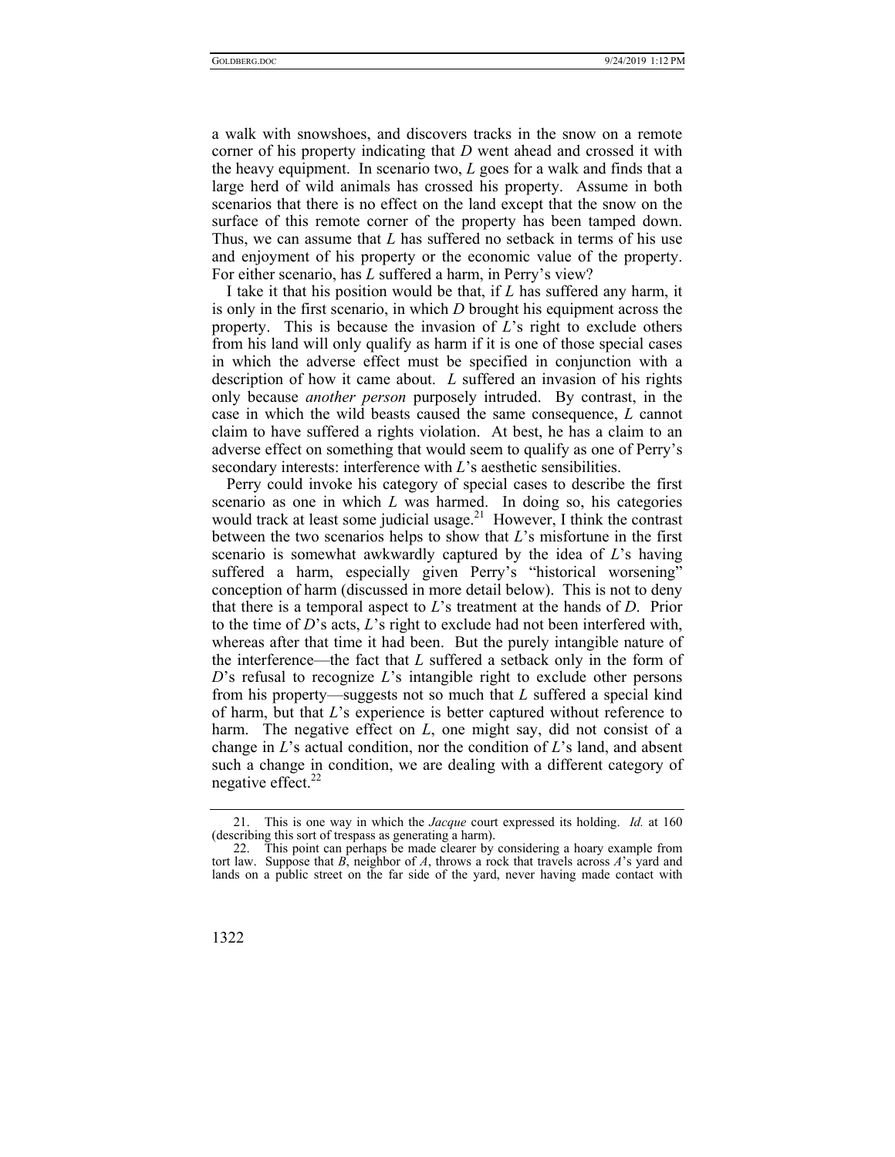a walk with snowshoes, and discovers tracks in the snow on a remote corner of his property indicating that *D* went ahead and crossed it with the heavy equipment. In scenario two, *L* goes for a walk and finds that a large herd of wild animals has crossed his property. Assume in both scenarios that there is no effect on the land except that the snow on the surface of this remote corner of the property has been tamped down. Thus, we can assume that *L* has suffered no setback in terms of his use and enjoyment of his property or the economic value of the property. For either scenario, has *L* suffered a harm, in Perry's view?

I take it that his position would be that, if *L* has suffered any harm, it is only in the first scenario, in which *D* brought his equipment across the property. This is because the invasion of *L*'s right to exclude others from his land will only qualify as harm if it is one of those special cases in which the adverse effect must be specified in conjunction with a description of how it came about. *L* suffered an invasion of his rights only because *another person* purposely intruded. By contrast, in the case in which the wild beasts caused the same consequence, *L* cannot claim to have suffered a rights violation. At best, he has a claim to an adverse effect on something that would seem to qualify as one of Perry's secondary interests: interference with *L*'s aesthetic sensibilities.

Perry could invoke his category of special cases to describe the first scenario as one in which *L* was harmed. In doing so, his categories would track at least some judicial usage.<sup>21</sup> However, I think the contrast between the two scenarios helps to show that *L*'s misfortune in the first scenario is somewhat awkwardly captured by the idea of *L*'s having suffered a harm, especially given Perry's "historical worsening" conception of harm (discussed in more detail below). This is not to deny that there is a temporal aspect to *L*'s treatment at the hands of *D*. Prior to the time of *D*'s acts, *L*'s right to exclude had not been interfered with, whereas after that time it had been. But the purely intangible nature of the interference—the fact that *L* suffered a setback only in the form of *D*'s refusal to recognize *L*'s intangible right to exclude other persons from his property—suggests not so much that *L* suffered a special kind of harm, but that *L*'s experience is better captured without reference to harm. The negative effect on *L*, one might say, did not consist of a change in *L*'s actual condition, nor the condition of *L*'s land, and absent such a change in condition, we are dealing with a different category of negative effect.<sup>22</sup>

 <sup>22.</sup> This point can perhaps be made clearer by considering a hoary example from tort law. Suppose that  $\overline{B}$ , neighbor of  $\overline{A}$ , throws a rock that travels across  $\overline{A}$ 's yard and lands on a public street on the far side of the yard, never having made contact with



 <sup>21.</sup> This is one way in which the *Jacque* court expressed its holding. *Id.* at 160 (describing this sort of trespass as generating a harm).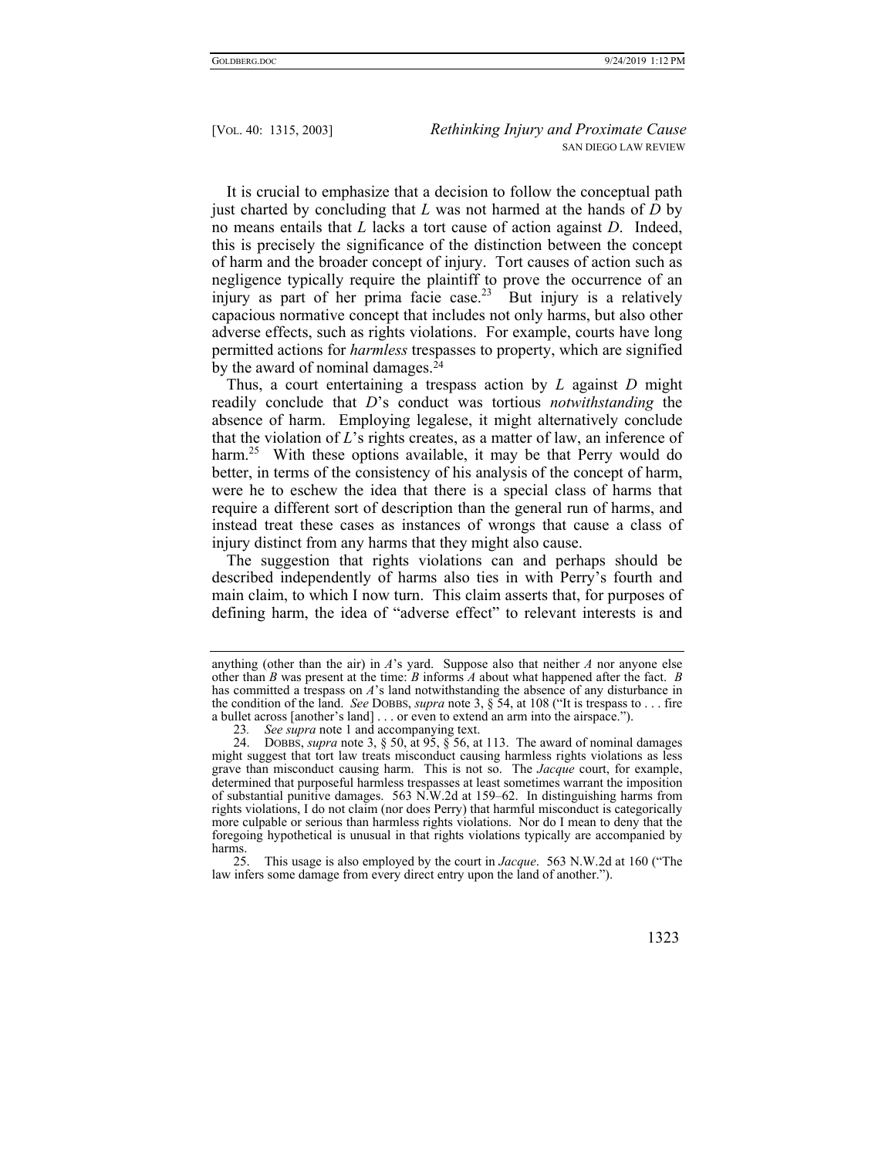It is crucial to emphasize that a decision to follow the conceptual path just charted by concluding that *L* was not harmed at the hands of *D* by no means entails that *L* lacks a tort cause of action against *D*. Indeed, this is precisely the significance of the distinction between the concept of harm and the broader concept of injury. Tort causes of action such as negligence typically require the plaintiff to prove the occurrence of an injury as part of her prima facie case.<sup>23</sup> But injury is a relatively capacious normative concept that includes not only harms, but also other adverse effects, such as rights violations. For example, courts have long permitted actions for *harmless* trespasses to property, which are signified by the award of nominal damages.<sup>24</sup>

Thus, a court entertaining a trespass action by *L* against *D* might readily conclude that *D*'s conduct was tortious *notwithstanding* the absence of harm. Employing legalese, it might alternatively conclude that the violation of *L*'s rights creates, as a matter of law, an inference of harm.<sup>25</sup> With these options available, it may be that Perry would do better, in terms of the consistency of his analysis of the concept of harm, were he to eschew the idea that there is a special class of harms that require a different sort of description than the general run of harms, and instead treat these cases as instances of wrongs that cause a class of injury distinct from any harms that they might also cause.

The suggestion that rights violations can and perhaps should be described independently of harms also ties in with Perry's fourth and main claim, to which I now turn. This claim asserts that, for purposes of defining harm, the idea of "adverse effect" to relevant interests is and

 <sup>25.</sup> This usage is also employed by the court in *Jacque*. 563 N.W.2d at 160 ("The law infers some damage from every direct entry upon the land of another.").



anything (other than the air) in *A*'s yard. Suppose also that neither *A* nor anyone else other than *B* was present at the time: *B* informs *A* about what happened after the fact. *B* has committed a trespass on *A*'s land notwithstanding the absence of any disturbance in the condition of the land. *See* DOBBS, *supra* note 3, § 54, at 108 ("It is trespass to . . . fire a bullet across [another's land] . . . or even to extend an arm into the airspace.").

<sup>23</sup>*. See supra* note 1 and accompanying text.

 <sup>24.</sup> DOBBS, *supra* note 3, § 50, at 95, § 56, at 113. The award of nominal damages might suggest that tort law treats misconduct causing harmless rights violations as less grave than misconduct causing harm. This is not so. The *Jacque* court, for example, determined that purposeful harmless trespasses at least sometimes warrant the imposition of substantial punitive damages. 563 N.W.2d at 159–62. In distinguishing harms from rights violations, I do not claim (nor does Perry) that harmful misconduct is categorically more culpable or serious than harmless rights violations. Nor do I mean to deny that the foregoing hypothetical is unusual in that rights violations typically are accompanied by harms.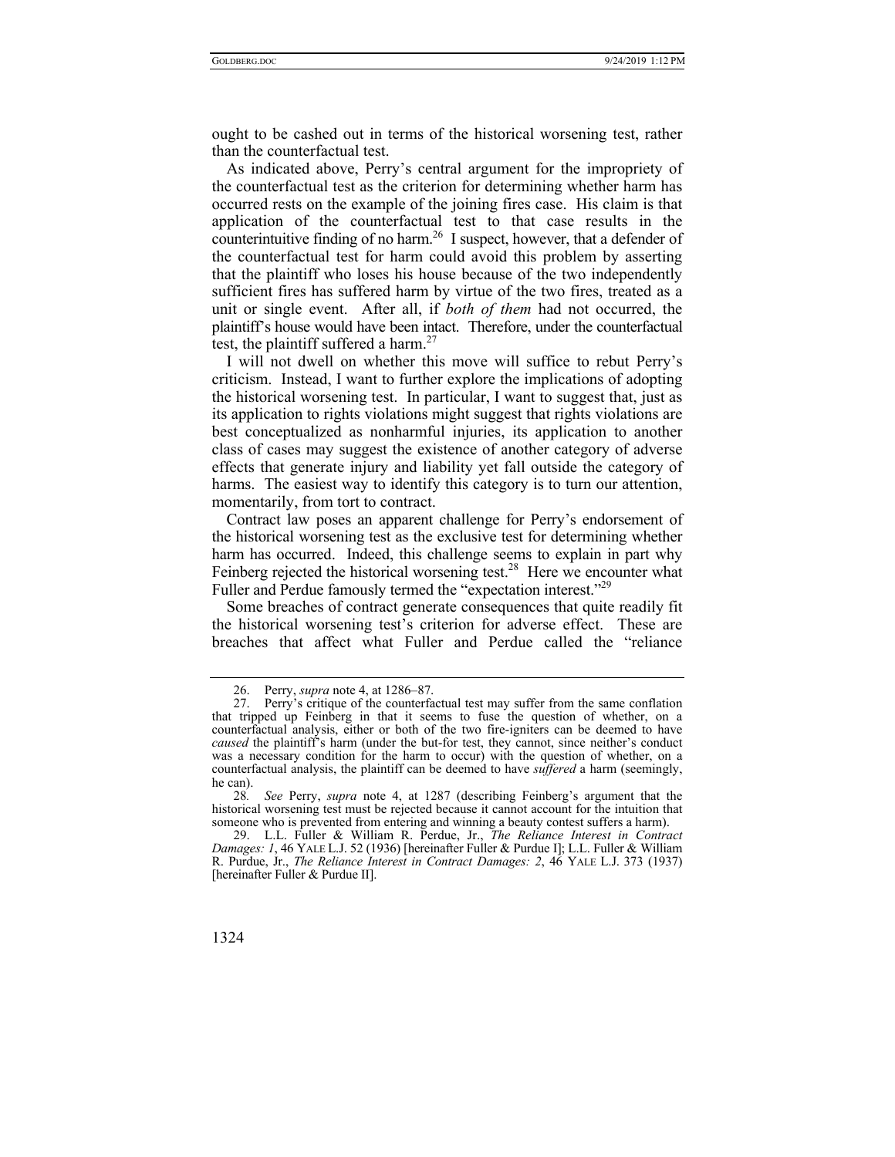ought to be cashed out in terms of the historical worsening test, rather than the counterfactual test.

As indicated above, Perry's central argument for the impropriety of the counterfactual test as the criterion for determining whether harm has occurred rests on the example of the joining fires case. His claim is that application of the counterfactual test to that case results in the counterintuitive finding of no harm.<sup>26</sup> I suspect, however, that a defender of the counterfactual test for harm could avoid this problem by asserting that the plaintiff who loses his house because of the two independently sufficient fires has suffered harm by virtue of the two fires, treated as a unit or single event. After all, if *both of them* had not occurred, the plaintiff's house would have been intact. Therefore, under the counterfactual test, the plaintiff suffered a harm. $27$ 

I will not dwell on whether this move will suffice to rebut Perry's criticism. Instead, I want to further explore the implications of adopting the historical worsening test. In particular, I want to suggest that, just as its application to rights violations might suggest that rights violations are best conceptualized as nonharmful injuries, its application to another class of cases may suggest the existence of another category of adverse effects that generate injury and liability yet fall outside the category of harms. The easiest way to identify this category is to turn our attention, momentarily, from tort to contract.

Contract law poses an apparent challenge for Perry's endorsement of the historical worsening test as the exclusive test for determining whether harm has occurred. Indeed, this challenge seems to explain in part why Feinberg rejected the historical worsening test.<sup>28</sup> Here we encounter what Fuller and Perdue famously termed the "expectation interest."<sup>29</sup>

Some breaches of contract generate consequences that quite readily fit the historical worsening test's criterion for adverse effect. These are breaches that affect what Fuller and Perdue called the "reliance

 <sup>29.</sup> L.L. Fuller & William R. Perdue, Jr., *The Reliance Interest in Contract Damages: 1*, 46 YALE L.J. 52 (1936) [hereinafter Fuller & Purdue I]; L.L. Fuller & William R. Purdue, Jr., *The Reliance Interest in Contract Damages: 2*, 46 YALE L.J. 373 (1937) [hereinafter Fuller & Purdue II].



 <sup>26.</sup> Perry, *supra* note 4, at 1286–87.

 <sup>27.</sup> Perry's critique of the counterfactual test may suffer from the same conflation that tripped up Feinberg in that it seems to fuse the question of whether, on a counterfactual analysis, either or both of the two fire-igniters can be deemed to have *caused* the plaintiff's harm (under the but-for test, they cannot, since neither's conduct was a necessary condition for the harm to occur) with the question of whether, on a counterfactual analysis, the plaintiff can be deemed to have *suffered* a harm (seemingly, he can).

<sup>28</sup>*. See* Perry, *supra* note 4, at 1287 (describing Feinberg's argument that the historical worsening test must be rejected because it cannot account for the intuition that someone who is prevented from entering and winning a beauty contest suffers a harm).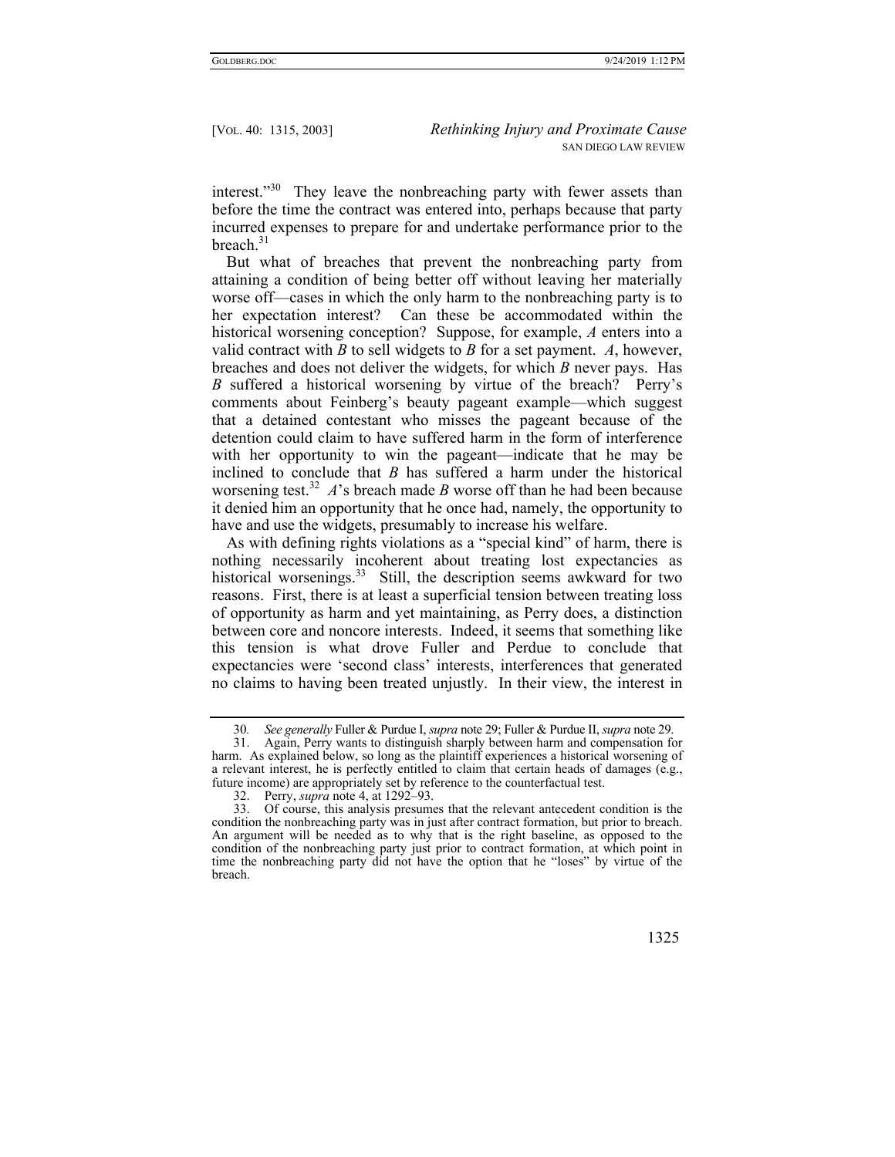interest."<sup>30</sup> They leave the nonbreaching party with fewer assets than before the time the contract was entered into, perhaps because that party incurred expenses to prepare for and undertake performance prior to the breach.<sup>31</sup>

But what of breaches that prevent the nonbreaching party from attaining a condition of being better off without leaving her materially worse off—cases in which the only harm to the nonbreaching party is to her expectation interest? Can these be accommodated within the historical worsening conception? Suppose, for example, *A* enters into a valid contract with *B* to sell widgets to *B* for a set payment. *A*, however, breaches and does not deliver the widgets, for which *B* never pays. Has *B* suffered a historical worsening by virtue of the breach? Perry's comments about Feinberg's beauty pageant example—which suggest that a detained contestant who misses the pageant because of the detention could claim to have suffered harm in the form of interference with her opportunity to win the pageant—indicate that he may be inclined to conclude that *B* has suffered a harm under the historical worsening test.<sup>32</sup> *A*'s breach made *B* worse off than he had been because it denied him an opportunity that he once had, namely, the opportunity to have and use the widgets, presumably to increase his welfare.

As with defining rights violations as a "special kind" of harm, there is nothing necessarily incoherent about treating lost expectancies as historical worsenings.<sup>33</sup> Still, the description seems awkward for two reasons. First, there is at least a superficial tension between treating loss of opportunity as harm and yet maintaining, as Perry does, a distinction between core and noncore interests. Indeed, it seems that something like this tension is what drove Fuller and Perdue to conclude that expectancies were 'second class' interests, interferences that generated no claims to having been treated unjustly. In their view, the interest in

 <sup>33.</sup> Of course, this analysis presumes that the relevant antecedent condition is the condition the nonbreaching party was in just after contract formation, but prior to breach. An argument will be needed as to why that is the right baseline, as opposed to the condition of the nonbreaching party just prior to contract formation, at which point in time the nonbreaching party did not have the option that he "loses" by virtue of the breach.



<sup>30</sup>*. See generally* Fuller & Purdue I, *supra* note 29; Fuller & Purdue II, *supra* note 29.

 <sup>31.</sup> Again, Perry wants to distinguish sharply between harm and compensation for harm. As explained below, so long as the plaintiff experiences a historical worsening of a relevant interest, he is perfectly entitled to claim that certain heads of damages (e.g., future income) are appropriately set by reference to the counterfactual test.

 <sup>32.</sup> Perry, *supra* note 4, at 1292–93.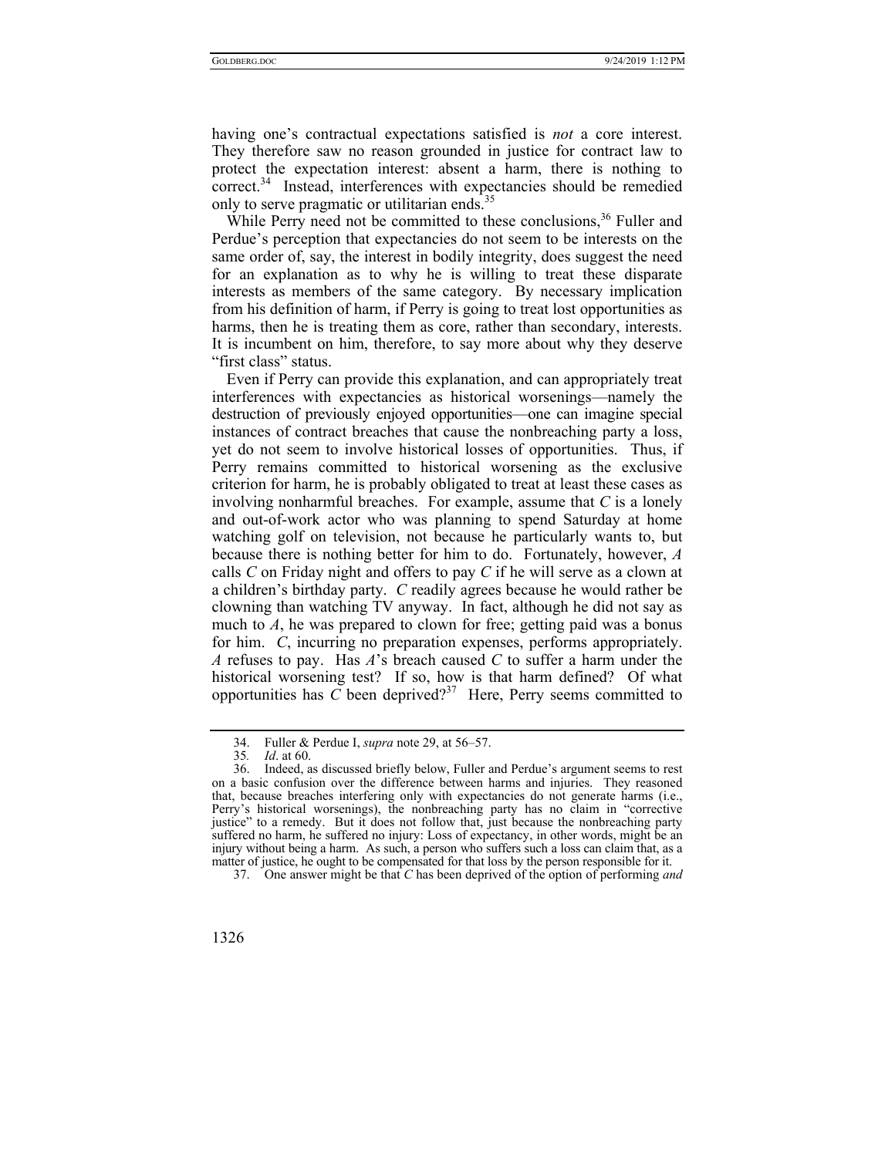having one's contractual expectations satisfied is *not* a core interest. They therefore saw no reason grounded in justice for contract law to protect the expectation interest: absent a harm, there is nothing to correct.<sup>34</sup> Instead, interferences with expectancies should be remedied only to serve pragmatic or utilitarian ends. $35$ 

While Perry need not be committed to these conclusions.<sup>36</sup> Fuller and Perdue's perception that expectancies do not seem to be interests on the same order of, say, the interest in bodily integrity, does suggest the need for an explanation as to why he is willing to treat these disparate interests as members of the same category. By necessary implication from his definition of harm, if Perry is going to treat lost opportunities as harms, then he is treating them as core, rather than secondary, interests. It is incumbent on him, therefore, to say more about why they deserve "first class" status.

Even if Perry can provide this explanation, and can appropriately treat interferences with expectancies as historical worsenings—namely the destruction of previously enjoyed opportunities—one can imagine special instances of contract breaches that cause the nonbreaching party a loss, yet do not seem to involve historical losses of opportunities. Thus, if Perry remains committed to historical worsening as the exclusive criterion for harm, he is probably obligated to treat at least these cases as involving nonharmful breaches. For example, assume that *C* is a lonely and out-of-work actor who was planning to spend Saturday at home watching golf on television, not because he particularly wants to, but because there is nothing better for him to do. Fortunately, however, *A*  calls *C* on Friday night and offers to pay *C* if he will serve as a clown at a children's birthday party. *C* readily agrees because he would rather be clowning than watching TV anyway. In fact, although he did not say as much to *A*, he was prepared to clown for free; getting paid was a bonus for him. *C*, incurring no preparation expenses, performs appropriately. *A* refuses to pay. Has *A*'s breach caused *C* to suffer a harm under the historical worsening test? If so, how is that harm defined? Of what opportunities has  $\tilde{C}$  been deprived?<sup>37</sup> Here, Perry seems committed to

 <sup>37.</sup> One answer might be that *C* has been deprived of the option of performing *and*



 <sup>34.</sup> Fuller & Perdue I, *supra* note 29, at 56–57.

<sup>35</sup>*. Id*. at 60.

 <sup>36.</sup> Indeed, as discussed briefly below, Fuller and Perdue's argument seems to rest on a basic confusion over the difference between harms and injuries. They reasoned that, because breaches interfering only with expectancies do not generate harms (i.e., Perry's historical worsenings), the nonbreaching party has no claim in "corrective justice" to a remedy. But it does not follow that, just because the nonbreaching party suffered no harm, he suffered no injury: Loss of expectancy, in other words, might be an injury without being a harm. As such, a person who suffers such a loss can claim that, as a matter of justice, he ought to be compensated for that loss by the person responsible for it.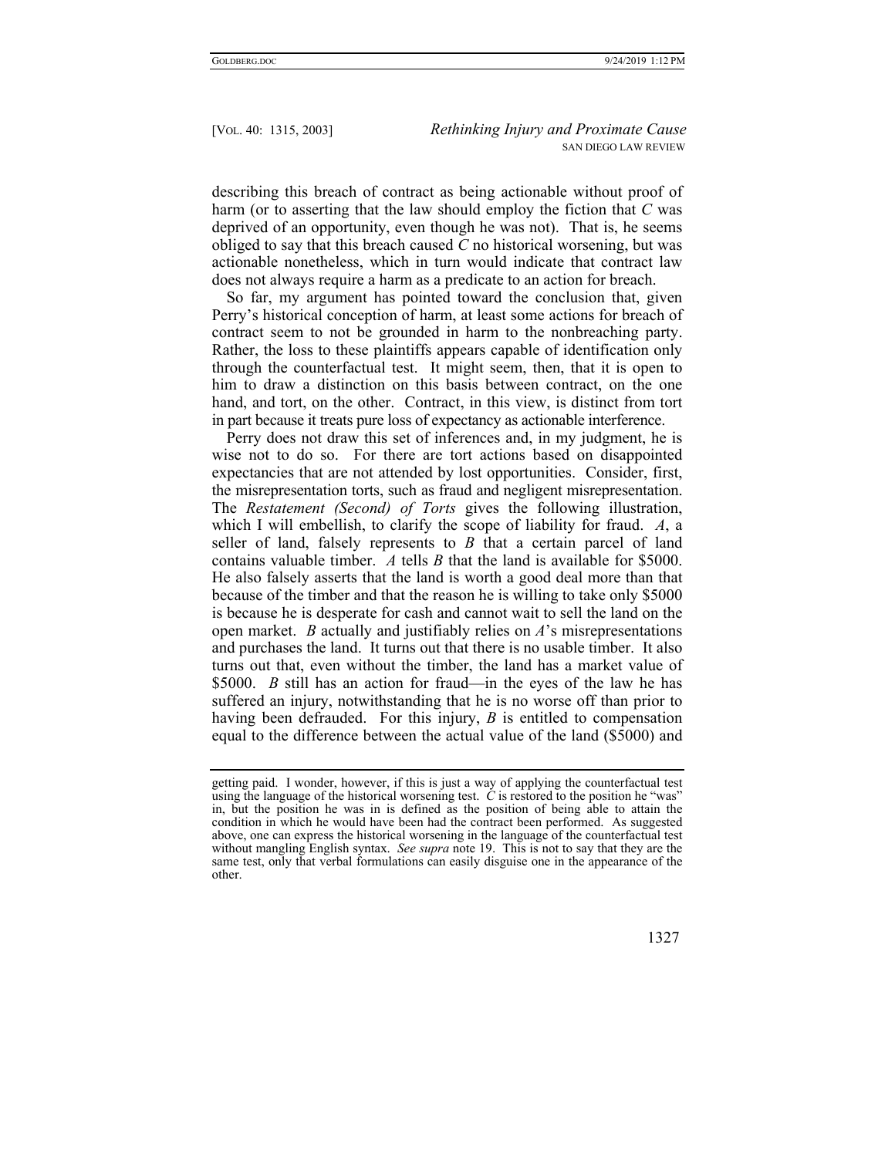describing this breach of contract as being actionable without proof of harm (or to asserting that the law should employ the fiction that *C* was deprived of an opportunity, even though he was not). That is, he seems obliged to say that this breach caused *C* no historical worsening, but was actionable nonetheless, which in turn would indicate that contract law does not always require a harm as a predicate to an action for breach.

So far, my argument has pointed toward the conclusion that, given Perry's historical conception of harm, at least some actions for breach of contract seem to not be grounded in harm to the nonbreaching party. Rather, the loss to these plaintiffs appears capable of identification only through the counterfactual test. It might seem, then, that it is open to him to draw a distinction on this basis between contract, on the one hand, and tort, on the other. Contract, in this view, is distinct from tort in part because it treats pure loss of expectancy as actionable interference.

Perry does not draw this set of inferences and, in my judgment, he is wise not to do so. For there are tort actions based on disappointed expectancies that are not attended by lost opportunities. Consider, first, the misrepresentation torts, such as fraud and negligent misrepresentation. The *Restatement (Second) of Torts* gives the following illustration, which I will embellish, to clarify the scope of liability for fraud. *A*, a seller of land, falsely represents to *B* that a certain parcel of land contains valuable timber. *A* tells *B* that the land is available for \$5000. He also falsely asserts that the land is worth a good deal more than that because of the timber and that the reason he is willing to take only \$5000 is because he is desperate for cash and cannot wait to sell the land on the open market. *B* actually and justifiably relies on *A*'s misrepresentations and purchases the land. It turns out that there is no usable timber. It also turns out that, even without the timber, the land has a market value of \$5000. *B* still has an action for fraud—in the eyes of the law he has suffered an injury, notwithstanding that he is no worse off than prior to having been defrauded. For this injury, *B* is entitled to compensation equal to the difference between the actual value of the land (\$5000) and

getting paid. I wonder, however, if this is just a way of applying the counterfactual test using the language of the historical worsening test. *C* is restored to the position he "was" in, but the position he was in is defined as the position of being able to attain the condition in which he would have been had the contract been performed. As suggested above, one can express the historical worsening in the language of the counterfactual test without mangling English syntax. *See supra* note 19. This is not to say that they are the same test, only that verbal formulations can easily disguise one in the appearance of the other.

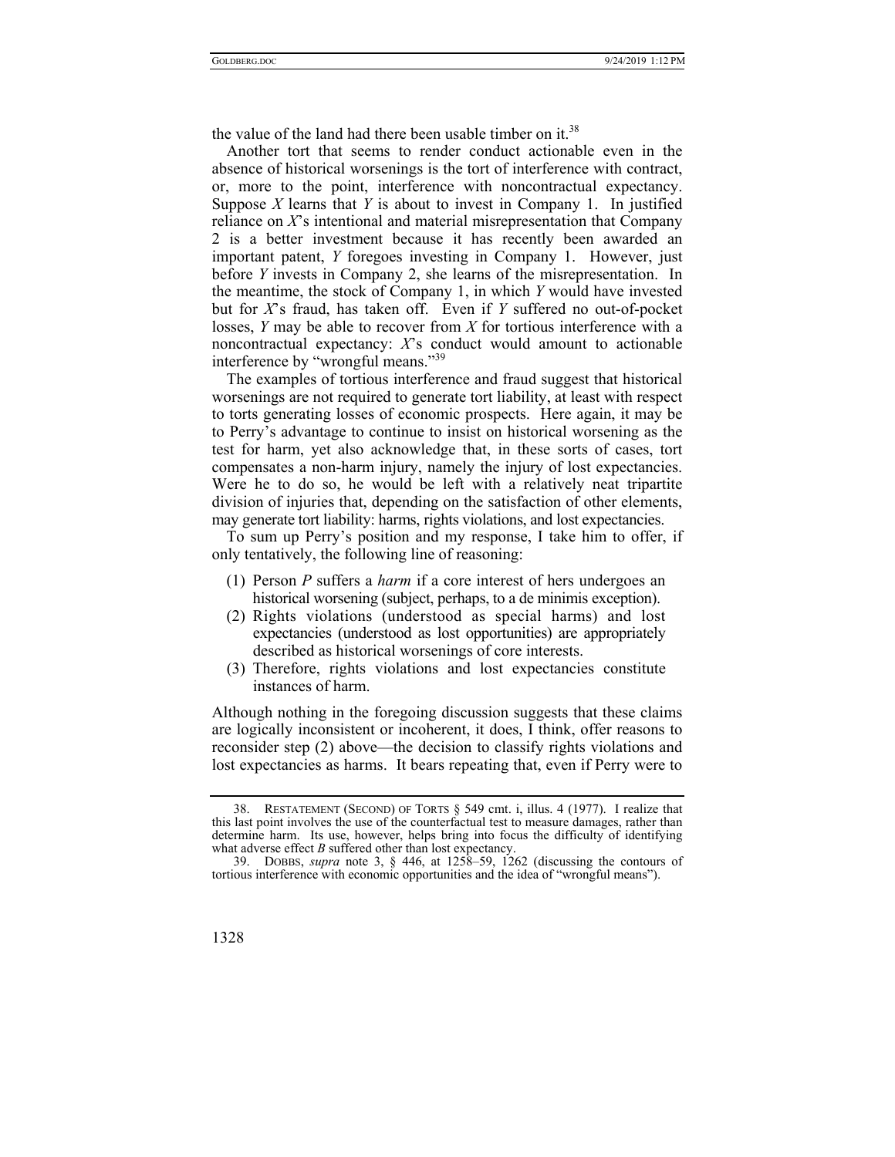the value of the land had there been usable timber on it.<sup>38</sup>

Another tort that seems to render conduct actionable even in the absence of historical worsenings is the tort of interference with contract, or, more to the point, interference with noncontractual expectancy. Suppose *X* learns that *Y* is about to invest in Company 1. In justified reliance on *X*'s intentional and material misrepresentation that Company 2 is a better investment because it has recently been awarded an important patent, *Y* foregoes investing in Company 1. However, just before *Y* invests in Company 2, she learns of the misrepresentation. In the meantime, the stock of Company 1, in which *Y* would have invested but for *X*'s fraud, has taken off. Even if *Y* suffered no out-of-pocket losses, *Y* may be able to recover from *X* for tortious interference with a noncontractual expectancy: *X*'s conduct would amount to actionable interference by "wrongful means."<sup>39</sup>

The examples of tortious interference and fraud suggest that historical worsenings are not required to generate tort liability, at least with respect to torts generating losses of economic prospects. Here again, it may be to Perry's advantage to continue to insist on historical worsening as the test for harm, yet also acknowledge that, in these sorts of cases, tort compensates a non-harm injury, namely the injury of lost expectancies. Were he to do so, he would be left with a relatively neat tripartite division of injuries that, depending on the satisfaction of other elements, may generate tort liability: harms, rights violations, and lost expectancies.

To sum up Perry's position and my response, I take him to offer, if only tentatively, the following line of reasoning:

- (1) Person *P* suffers a *harm* if a core interest of hers undergoes an historical worsening (subject, perhaps, to a de minimis exception).
- (2) Rights violations (understood as special harms) and lost expectancies (understood as lost opportunities) are appropriately described as historical worsenings of core interests.
- (3) Therefore, rights violations and lost expectancies constitute instances of harm.

Although nothing in the foregoing discussion suggests that these claims are logically inconsistent or incoherent, it does, I think, offer reasons to reconsider step (2) above—the decision to classify rights violations and lost expectancies as harms. It bears repeating that, even if Perry were to

 <sup>39.</sup> DOBBS, *supra* note 3, § 446, at 1258–59, 1262 (discussing the contours of tortious interference with economic opportunities and the idea of "wrongful means").



 <sup>38.</sup> RESTATEMENT (SECOND) OF TORTS § 549 cmt. i, illus. 4 (1977). I realize that this last point involves the use of the counterfactual test to measure damages, rather than determine harm. Its use, however, helps bring into focus the difficulty of identifying what adverse effect *B* suffered other than lost expectancy.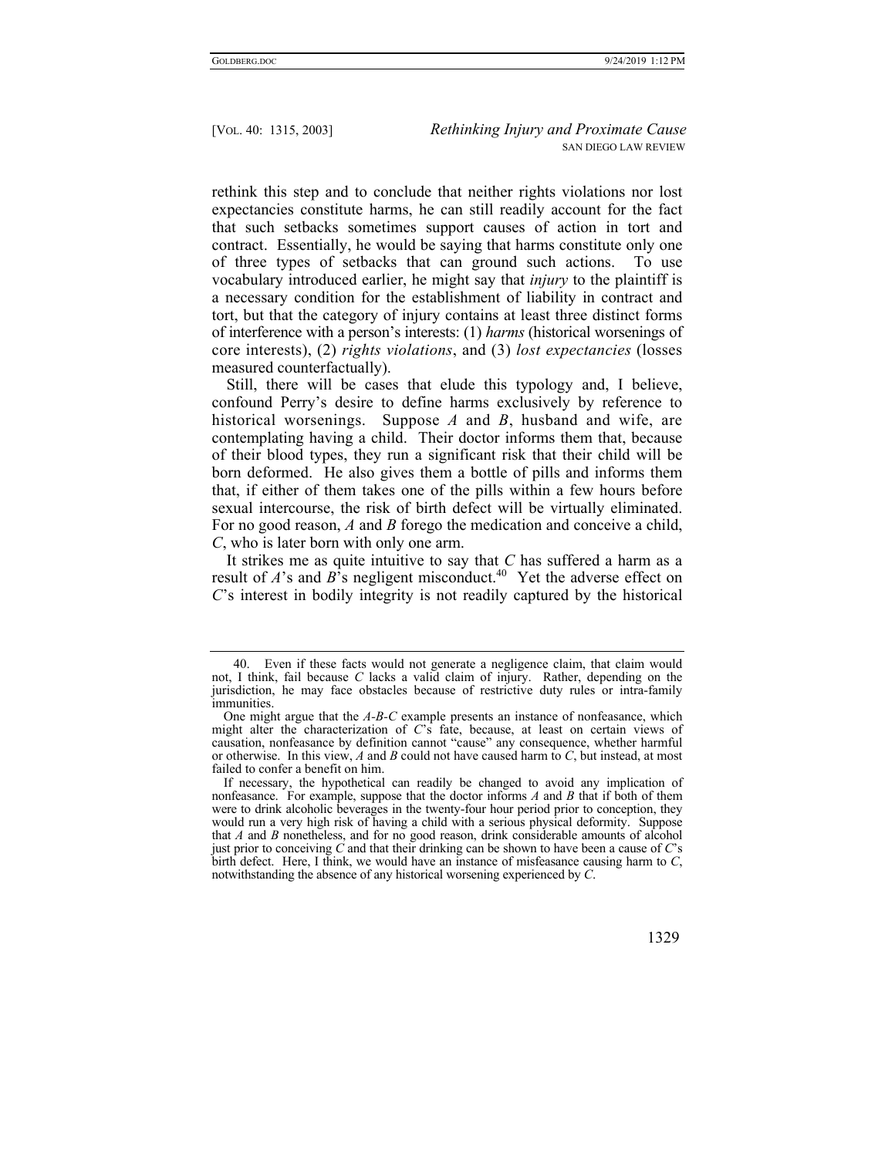rethink this step and to conclude that neither rights violations nor lost expectancies constitute harms, he can still readily account for the fact that such setbacks sometimes support causes of action in tort and contract. Essentially, he would be saying that harms constitute only one of three types of setbacks that can ground such actions. To use vocabulary introduced earlier, he might say that *injury* to the plaintiff is a necessary condition for the establishment of liability in contract and tort, but that the category of injury contains at least three distinct forms of interference with a person's interests: (1) *harms* (historical worsenings of core interests), (2) *rights violations*, and (3) *lost expectancies* (losses measured counterfactually).

Still, there will be cases that elude this typology and, I believe, confound Perry's desire to define harms exclusively by reference to historical worsenings. Suppose *A* and *B*, husband and wife, are contemplating having a child. Their doctor informs them that, because of their blood types, they run a significant risk that their child will be born deformed. He also gives them a bottle of pills and informs them that, if either of them takes one of the pills within a few hours before sexual intercourse, the risk of birth defect will be virtually eliminated. For no good reason, *A* and *B* forego the medication and conceive a child, *C*, who is later born with only one arm.

It strikes me as quite intuitive to say that *C* has suffered a harm as a result of *A*'s and *B*<sup>'</sup>s negligent misconduct.<sup>40</sup> Yet the adverse effect on *C*'s interest in bodily integrity is not readily captured by the historical

 <sup>40.</sup> Even if these facts would not generate a negligence claim, that claim would not, I think, fail because *C* lacks a valid claim of injury. Rather, depending on the jurisdiction, he may face obstacles because of restrictive duty rules or intra-family immunities.

One might argue that the *A-B-C* example presents an instance of nonfeasance, which might alter the characterization of *C*'s fate, because, at least on certain views of causation, nonfeasance by definition cannot "cause" any consequence, whether harmful or otherwise. In this view, *A* and *B* could not have caused harm to *C*, but instead, at most failed to confer a benefit on him.

If necessary, the hypothetical can readily be changed to avoid any implication of nonfeasance. For example, suppose that the doctor informs *A* and *B* that if both of them were to drink alcoholic beverages in the twenty-four hour period prior to conception, they would run a very high risk of having a child with a serious physical deformity. Suppose that *A* and *B* nonetheless, and for no good reason, drink considerable amounts of alcohol just prior to conceiving *C* and that their drinking can be shown to have been a cause of *C*'s birth defect. Here, I think, we would have an instance of misfeasance causing harm to *C*, notwithstanding the absence of any historical worsening experienced by *C*.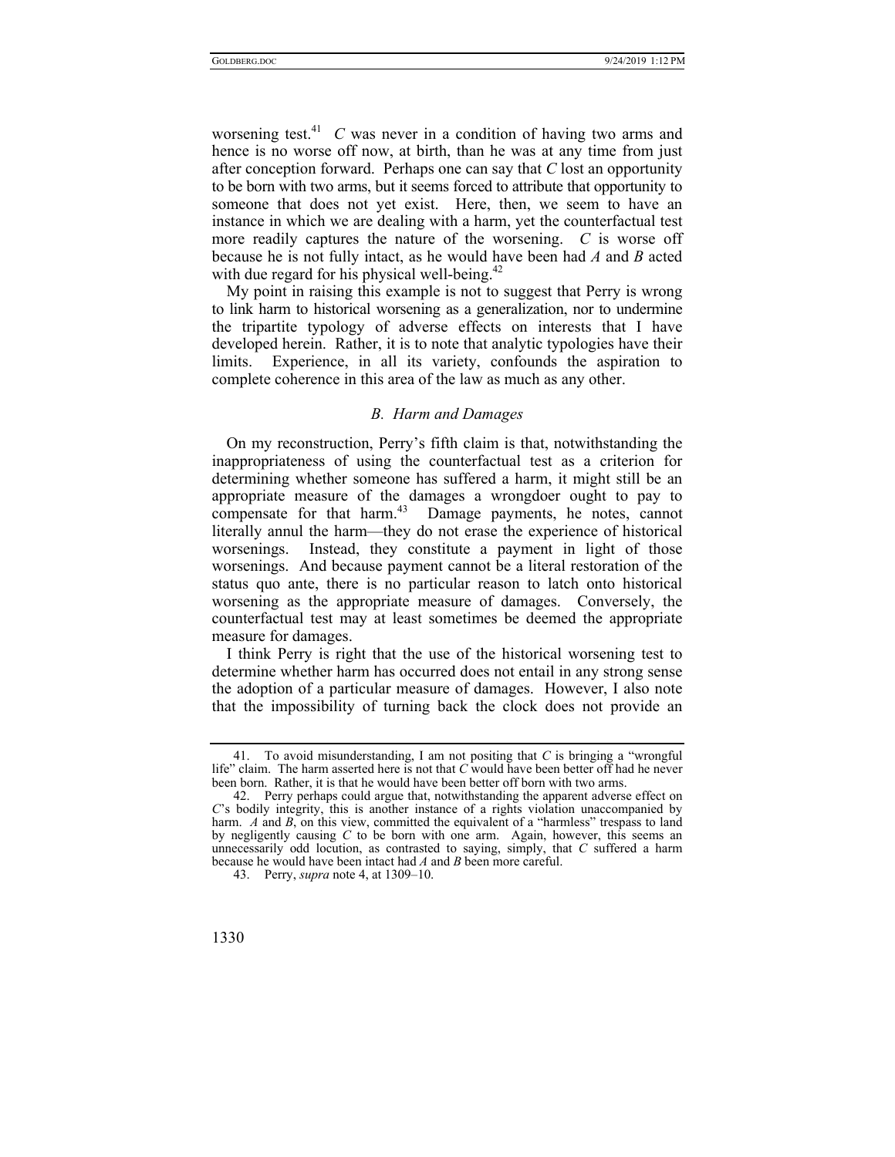worsening test.41 *C* was never in a condition of having two arms and hence is no worse off now, at birth, than he was at any time from just after conception forward. Perhaps one can say that *C* lost an opportunity to be born with two arms, but it seems forced to attribute that opportunity to someone that does not yet exist. Here, then, we seem to have an instance in which we are dealing with a harm, yet the counterfactual test more readily captures the nature of the worsening. *C* is worse off because he is not fully intact, as he would have been had *A* and *B* acted with due regard for his physical well-being. $42$ 

My point in raising this example is not to suggest that Perry is wrong to link harm to historical worsening as a generalization, nor to undermine the tripartite typology of adverse effects on interests that I have developed herein. Rather, it is to note that analytic typologies have their limits. Experience, in all its variety, confounds the aspiration to complete coherence in this area of the law as much as any other.

# *B. Harm and Damages*

On my reconstruction, Perry's fifth claim is that, notwithstanding the inappropriateness of using the counterfactual test as a criterion for determining whether someone has suffered a harm, it might still be an appropriate measure of the damages a wrongdoer ought to pay to compensate for that harm.43 Damage payments, he notes, cannot literally annul the harm—they do not erase the experience of historical worsenings. Instead, they constitute a payment in light of those worsenings. And because payment cannot be a literal restoration of the status quo ante, there is no particular reason to latch onto historical worsening as the appropriate measure of damages. Conversely, the counterfactual test may at least sometimes be deemed the appropriate measure for damages.

I think Perry is right that the use of the historical worsening test to determine whether harm has occurred does not entail in any strong sense the adoption of a particular measure of damages. However, I also note that the impossibility of turning back the clock does not provide an

 <sup>43.</sup> Perry, *supra* note 4, at 1309–10.



 <sup>41.</sup> To avoid misunderstanding, I am not positing that *C* is bringing a "wrongful life" claim. The harm asserted here is not that *C* would have been better off had he never been born. Rather, it is that he would have been better off born with two arms.

 <sup>42.</sup> Perry perhaps could argue that, notwithstanding the apparent adverse effect on *C*'s bodily integrity, this is another instance of a rights violation unaccompanied by harm. *A* and *B*, on this view, committed the equivalent of a "harmless" trespass to land by negligently causing *C* to be born with one arm. Again, however, this seems an unnecessarily odd locution, as contrasted to saying, simply, that *C* suffered a harm because he would have been intact had *A* and *B* been more careful.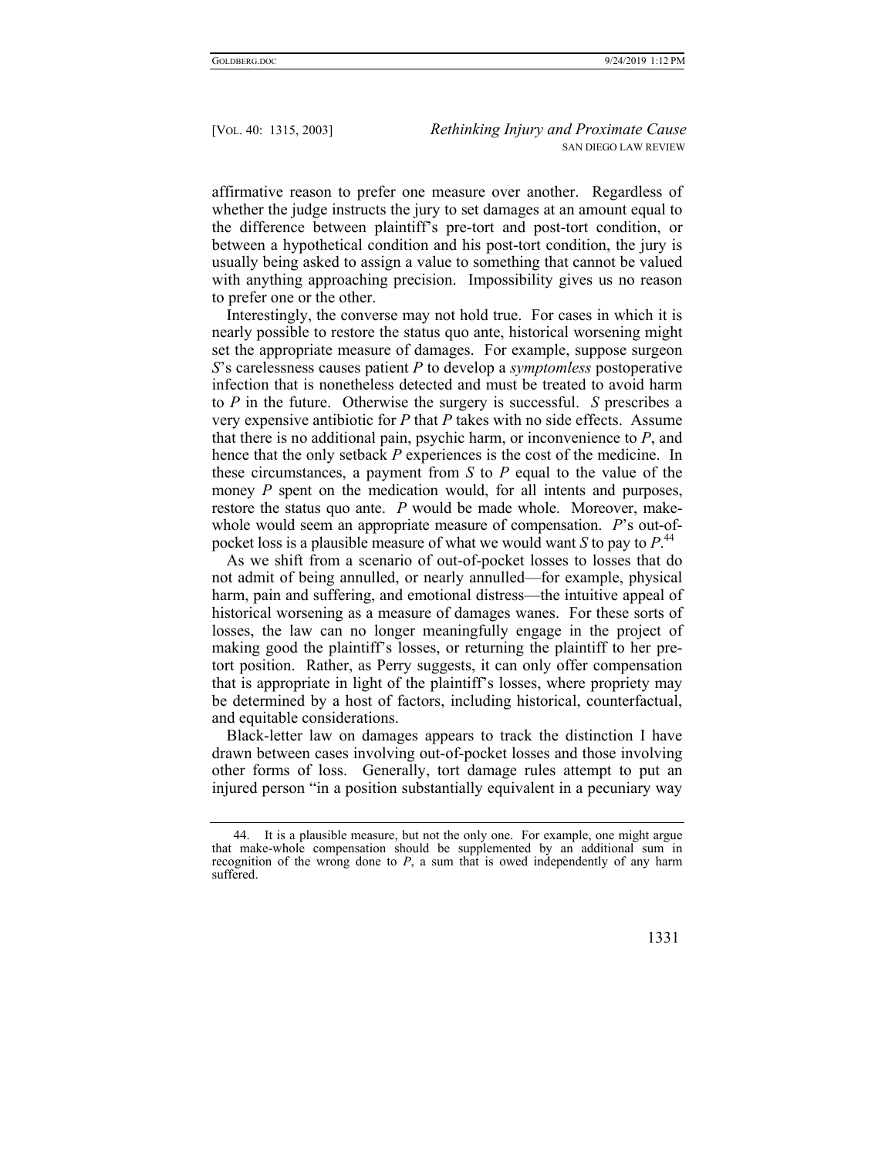affirmative reason to prefer one measure over another. Regardless of whether the judge instructs the jury to set damages at an amount equal to the difference between plaintiff's pre-tort and post-tort condition, or between a hypothetical condition and his post-tort condition, the jury is usually being asked to assign a value to something that cannot be valued with anything approaching precision. Impossibility gives us no reason to prefer one or the other.

Interestingly, the converse may not hold true. For cases in which it is nearly possible to restore the status quo ante, historical worsening might set the appropriate measure of damages. For example, suppose surgeon *S*'s carelessness causes patient *P* to develop a *symptomless* postoperative infection that is nonetheless detected and must be treated to avoid harm to *P* in the future. Otherwise the surgery is successful. *S* prescribes a very expensive antibiotic for *P* that *P* takes with no side effects. Assume that there is no additional pain, psychic harm, or inconvenience to *P*, and hence that the only setback *P* experiences is the cost of the medicine. In these circumstances, a payment from *S* to *P* equal to the value of the money *P* spent on the medication would, for all intents and purposes, restore the status quo ante. *P* would be made whole. Moreover, makewhole would seem an appropriate measure of compensation. *P*'s out-ofpocket loss is a plausible measure of what we would want *S* to pay to *P*. 44

As we shift from a scenario of out-of-pocket losses to losses that do not admit of being annulled, or nearly annulled—for example, physical harm, pain and suffering, and emotional distress—the intuitive appeal of historical worsening as a measure of damages wanes. For these sorts of losses, the law can no longer meaningfully engage in the project of making good the plaintiff's losses, or returning the plaintiff to her pretort position. Rather, as Perry suggests, it can only offer compensation that is appropriate in light of the plaintiff's losses, where propriety may be determined by a host of factors, including historical, counterfactual, and equitable considerations.

Black-letter law on damages appears to track the distinction I have drawn between cases involving out-of-pocket losses and those involving other forms of loss. Generally, tort damage rules attempt to put an injured person "in a position substantially equivalent in a pecuniary way

 <sup>44.</sup> It is a plausible measure, but not the only one. For example, one might argue that make-whole compensation should be supplemented by an additional sum in recognition of the wrong done to *P*, a sum that is owed independently of any harm suffered.

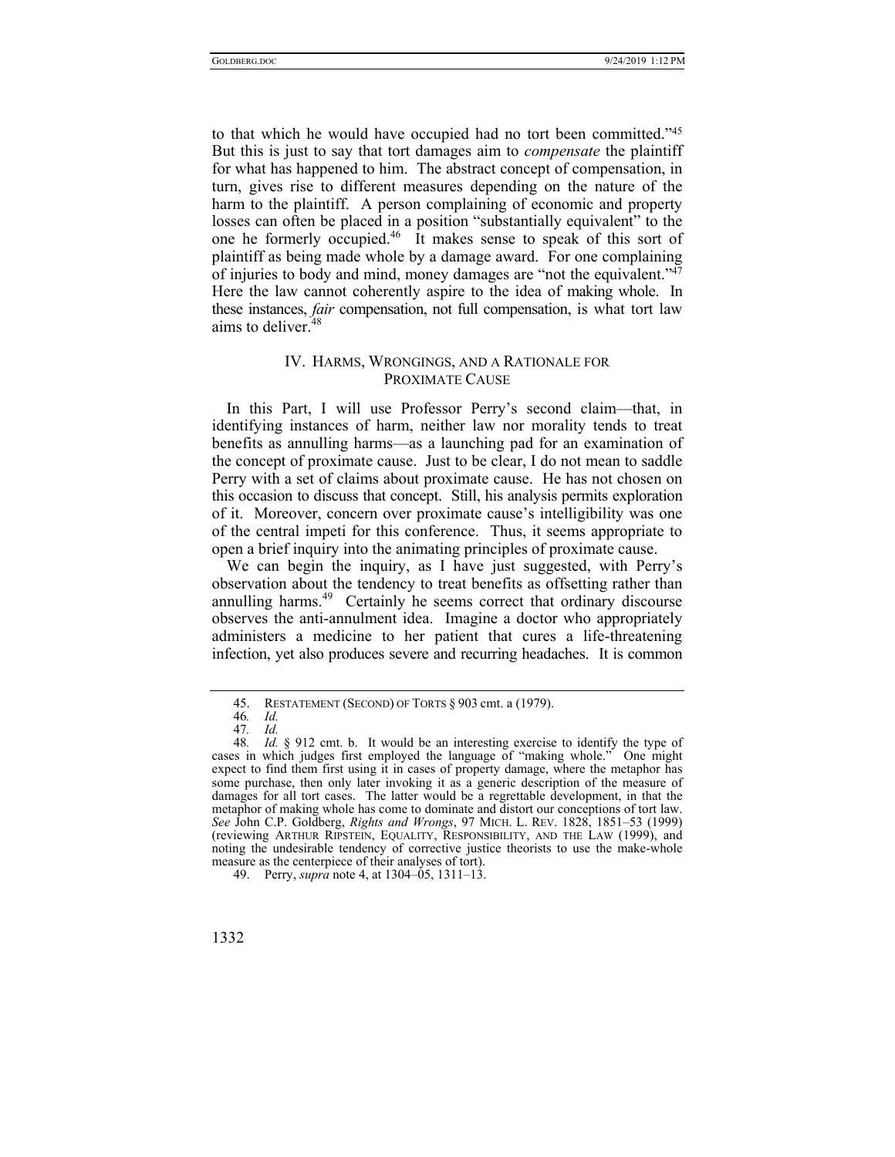to that which he would have occupied had no tort been committed."45 But this is just to say that tort damages aim to *compensate* the plaintiff for what has happened to him. The abstract concept of compensation, in turn, gives rise to different measures depending on the nature of the harm to the plaintiff. A person complaining of economic and property losses can often be placed in a position "substantially equivalent" to the one he formerly occupied.46 It makes sense to speak of this sort of plaintiff as being made whole by a damage award. For one complaining of injuries to body and mind, money damages are "not the equivalent."47 Here the law cannot coherently aspire to the idea of making whole. In these instances, *fair* compensation, not full compensation, is what tort law aims to deliver.<sup>48</sup>

# IV. HARMS, WRONGINGS, AND A RATIONALE FOR PROXIMATE CAUSE

In this Part, I will use Professor Perry's second claim—that, in identifying instances of harm, neither law nor morality tends to treat benefits as annulling harms—as a launching pad for an examination of the concept of proximate cause. Just to be clear, I do not mean to saddle Perry with a set of claims about proximate cause. He has not chosen on this occasion to discuss that concept. Still, his analysis permits exploration of it. Moreover, concern over proximate cause's intelligibility was one of the central impeti for this conference. Thus, it seems appropriate to open a brief inquiry into the animating principles of proximate cause.

We can begin the inquiry, as I have just suggested, with Perry's observation about the tendency to treat benefits as offsetting rather than annulling harms.<sup>49</sup> Certainly he seems correct that ordinary discourse observes the anti-annulment idea. Imagine a doctor who appropriately administers a medicine to her patient that cures a life-threatening infection, yet also produces severe and recurring headaches. It is common

 <sup>45.</sup> RESTATEMENT (SECOND) OF TORTS § 903 cmt. a (1979).

<sup>46</sup>*. Id.* 

<sup>47</sup>*. Id.* 

<sup>48</sup>*. Id.* § 912 cmt. b. It would be an interesting exercise to identify the type of cases in which judges first employed the language of "making whole." One might expect to find them first using it in cases of property damage, where the metaphor has some purchase, then only later invoking it as a generic description of the measure of damages for all tort cases. The latter would be a regrettable development, in that the metaphor of making whole has come to dominate and distort our conceptions of tort law. *See* John C.P. Goldberg, *Rights and Wrongs*, 97 MICH. L. REV. 1828, 1851–53 (1999) (reviewing ARTHUR RIPSTEIN, EQUALITY, RESPONSIBILITY, AND THE LAW (1999), and noting the undesirable tendency of corrective justice theorists to use the make-whole measure as the centerpiece of their analyses of tort).

 <sup>49.</sup> Perry, *supra* note 4, at 1304–05, 1311–13.

<sup>1332</sup>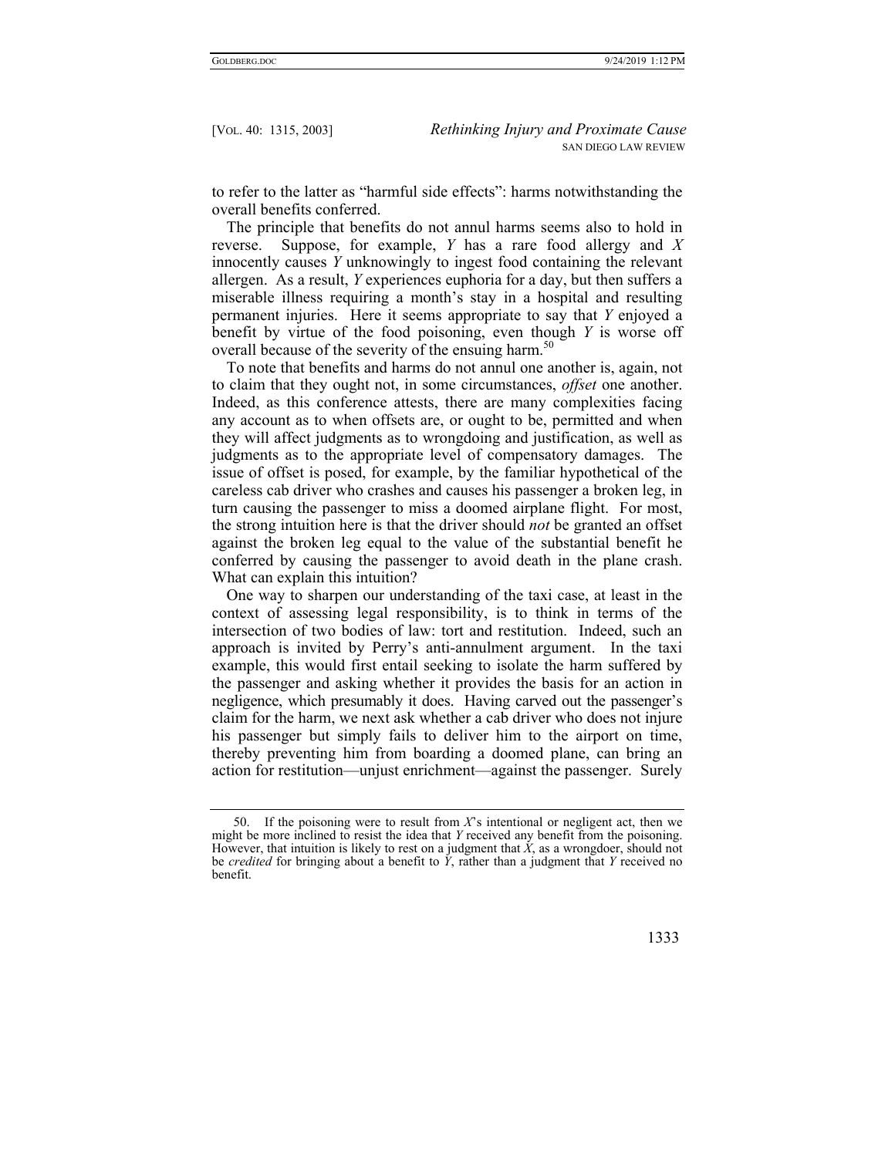to refer to the latter as "harmful side effects": harms notwithstanding the overall benefits conferred.

The principle that benefits do not annul harms seems also to hold in reverse. Suppose, for example, *Y* has a rare food allergy and *X* innocently causes *Y* unknowingly to ingest food containing the relevant allergen. As a result, *Y* experiences euphoria for a day, but then suffers a miserable illness requiring a month's stay in a hospital and resulting permanent injuries. Here it seems appropriate to say that *Y* enjoyed a benefit by virtue of the food poisoning, even though *Y* is worse off overall because of the severity of the ensuing harm.<sup>50</sup>

To note that benefits and harms do not annul one another is, again, not to claim that they ought not, in some circumstances, *offset* one another. Indeed, as this conference attests, there are many complexities facing any account as to when offsets are, or ought to be, permitted and when they will affect judgments as to wrongdoing and justification, as well as judgments as to the appropriate level of compensatory damages. The issue of offset is posed, for example, by the familiar hypothetical of the careless cab driver who crashes and causes his passenger a broken leg, in turn causing the passenger to miss a doomed airplane flight. For most, the strong intuition here is that the driver should *not* be granted an offset against the broken leg equal to the value of the substantial benefit he conferred by causing the passenger to avoid death in the plane crash. What can explain this intuition?

One way to sharpen our understanding of the taxi case, at least in the context of assessing legal responsibility, is to think in terms of the intersection of two bodies of law: tort and restitution. Indeed, such an approach is invited by Perry's anti-annulment argument. In the taxi example, this would first entail seeking to isolate the harm suffered by the passenger and asking whether it provides the basis for an action in negligence, which presumably it does. Having carved out the passenger's claim for the harm, we next ask whether a cab driver who does not injure his passenger but simply fails to deliver him to the airport on time, thereby preventing him from boarding a doomed plane, can bring an action for restitution—unjust enrichment—against the passenger. Surely

 <sup>50.</sup> If the poisoning were to result from *X*'s intentional or negligent act, then we might be more inclined to resist the idea that *Y* received any benefit from the poisoning. However, that intuition is likely to rest on a judgment that  $\dot{X}$ , as a wrongdoer, should not be *credited* for bringing about a benefit to  $\ddot{Y}$ , rather than a judgment that  $\ddot{Y}$  received no benefit.

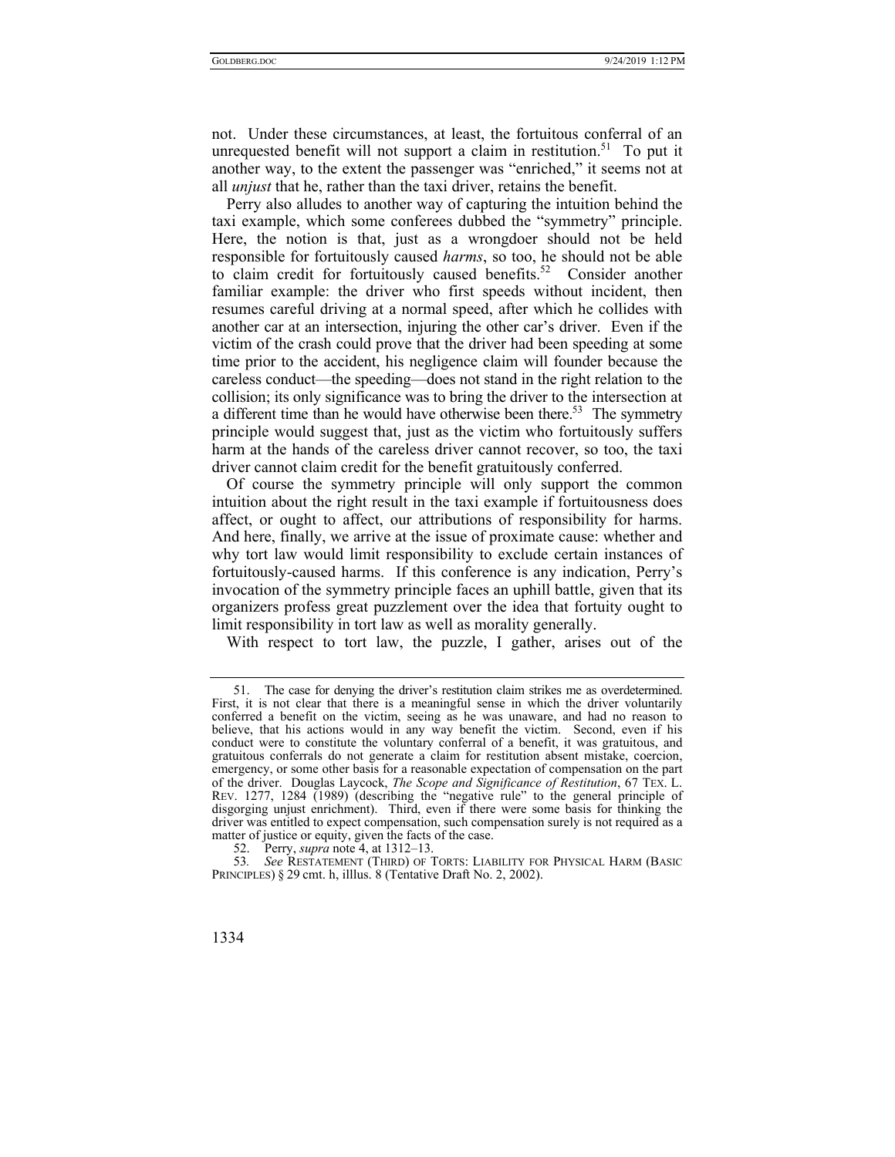not. Under these circumstances, at least, the fortuitous conferral of an unrequested benefit will not support a claim in restitution.<sup>51</sup> To put it another way, to the extent the passenger was "enriched," it seems not at all *unjust* that he, rather than the taxi driver, retains the benefit.

Perry also alludes to another way of capturing the intuition behind the taxi example, which some conferees dubbed the "symmetry" principle. Here, the notion is that, just as a wrongdoer should not be held responsible for fortuitously caused *harms*, so too, he should not be able to claim credit for fortuitously caused benefits.<sup>52</sup> Consider another familiar example: the driver who first speeds without incident, then resumes careful driving at a normal speed, after which he collides with another car at an intersection, injuring the other car's driver. Even if the victim of the crash could prove that the driver had been speeding at some time prior to the accident, his negligence claim will founder because the careless conduct—the speeding—does not stand in the right relation to the collision; its only significance was to bring the driver to the intersection at a different time than he would have otherwise been there.<sup>53</sup> The symmetry principle would suggest that, just as the victim who fortuitously suffers harm at the hands of the careless driver cannot recover, so too, the taxi driver cannot claim credit for the benefit gratuitously conferred.

Of course the symmetry principle will only support the common intuition about the right result in the taxi example if fortuitousness does affect, or ought to affect, our attributions of responsibility for harms. And here, finally, we arrive at the issue of proximate cause: whether and why tort law would limit responsibility to exclude certain instances of fortuitously-caused harms. If this conference is any indication, Perry's invocation of the symmetry principle faces an uphill battle, given that its organizers profess great puzzlement over the idea that fortuity ought to limit responsibility in tort law as well as morality generally.

With respect to tort law, the puzzle, I gather, arises out of the

<sup>53</sup>*. See* RESTATEMENT (THIRD) OF TORTS: LIABILITY FOR PHYSICAL HARM (BASIC PRINCIPLES) § 29 cmt. h, illlus. 8 (Tentative Draft No. 2, 2002).



 <sup>51.</sup> The case for denying the driver's restitution claim strikes me as overdetermined. First, it is not clear that there is a meaningful sense in which the driver voluntarily conferred a benefit on the victim, seeing as he was unaware, and had no reason to believe, that his actions would in any way benefit the victim. Second, even if his conduct were to constitute the voluntary conferral of a benefit, it was gratuitous, and gratuitous conferrals do not generate a claim for restitution absent mistake, coercion, emergency, or some other basis for a reasonable expectation of compensation on the part of the driver. Douglas Laycock, *The Scope and Significance of Restitution*, 67 TEX. L. REV. 1277, 1284 (1989) (describing the "negative rule" to the general principle of disgorging unjust enrichment). Third, even if there were some basis for thinking the driver was entitled to expect compensation, such compensation surely is not required as a matter of justice or equity, given the facts of the case.

 <sup>52.</sup> Perry, *supra* note 4, at 1312–13.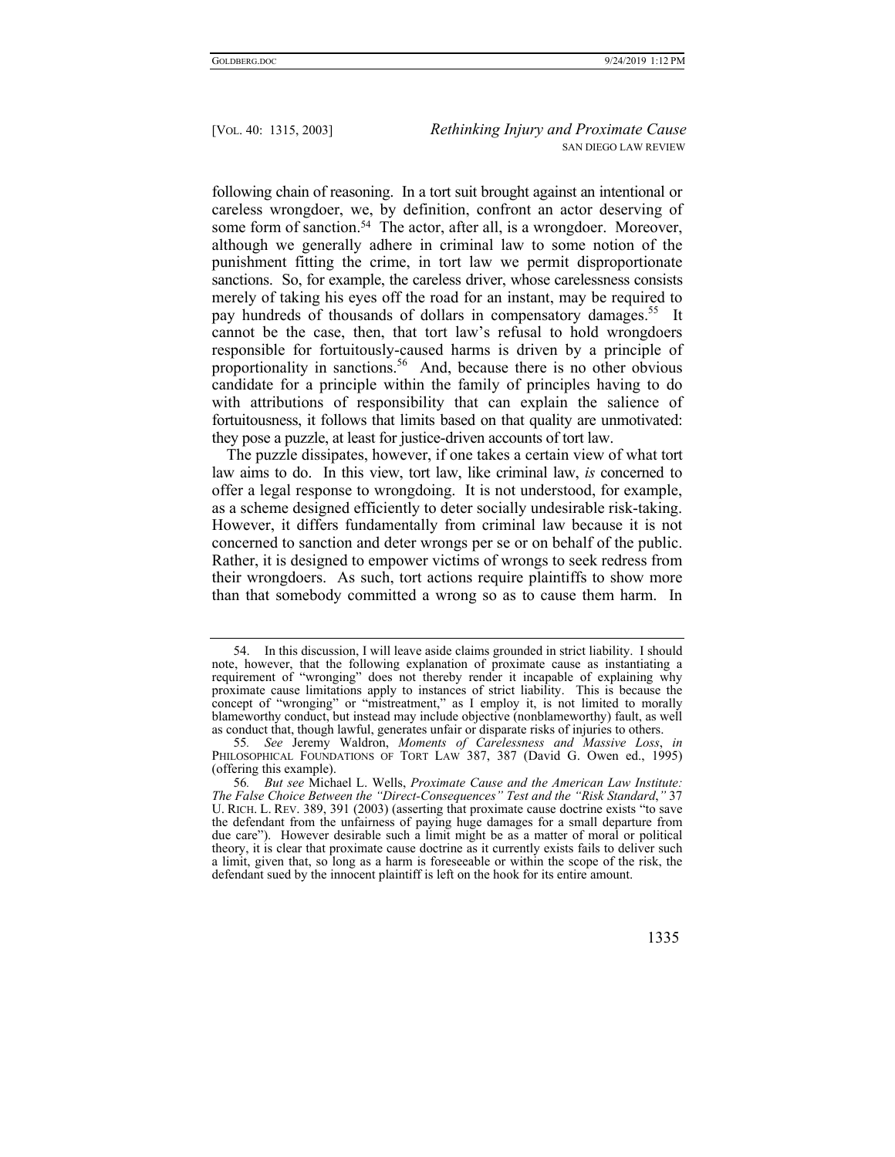following chain of reasoning. In a tort suit brought against an intentional or careless wrongdoer, we, by definition, confront an actor deserving of some form of sanction.<sup>54</sup> The actor, after all, is a wrongdoer. Moreover, although we generally adhere in criminal law to some notion of the punishment fitting the crime, in tort law we permit disproportionate sanctions. So, for example, the careless driver, whose carelessness consists merely of taking his eyes off the road for an instant, may be required to pay hundreds of thousands of dollars in compensatory damages.<sup>55</sup> It cannot be the case, then, that tort law's refusal to hold wrongdoers responsible for fortuitously-caused harms is driven by a principle of proportionality in sanctions.<sup>56</sup> And, because there is no other obvious candidate for a principle within the family of principles having to do with attributions of responsibility that can explain the salience of fortuitousness, it follows that limits based on that quality are unmotivated: they pose a puzzle, at least for justice-driven accounts of tort law.

The puzzle dissipates, however, if one takes a certain view of what tort law aims to do. In this view, tort law, like criminal law, *is* concerned to offer a legal response to wrongdoing. It is not understood, for example, as a scheme designed efficiently to deter socially undesirable risk-taking. However, it differs fundamentally from criminal law because it is not concerned to sanction and deter wrongs per se or on behalf of the public. Rather, it is designed to empower victims of wrongs to seek redress from their wrongdoers. As such, tort actions require plaintiffs to show more than that somebody committed a wrong so as to cause them harm. In

 <sup>54.</sup> In this discussion, I will leave aside claims grounded in strict liability. I should note, however, that the following explanation of proximate cause as instantiating a requirement of "wronging" does not thereby render it incapable of explaining why proximate cause limitations apply to instances of strict liability. This is because the concept of "wronging" or "mistreatment," as I employ it, is not limited to morally blameworthy conduct, but instead may include objective (nonblameworthy) fault, as well as conduct that, though lawful, generates unfair or disparate risks of injuries to others.

<sup>55</sup>*. See* Jeremy Waldron, *Moments of Carelessness and Massive Loss*, *in* PHILOSOPHICAL FOUNDATIONS OF TORT LAW 387, 387 (David G. Owen ed., 1995) (offering this example).

<sup>56</sup>*. But see* Michael L. Wells, *Proximate Cause and the American Law Institute: The False Choice Between the "Direct-Consequences" Test and the "Risk Standard*,*"* 37 U. RICH. L. REV. 389, 391 (2003) (asserting that proximate cause doctrine exists "to save the defendant from the unfairness of paying huge damages for a small departure from due care"). However desirable such a limit might be as a matter of moral or political theory, it is clear that proximate cause doctrine as it currently exists fails to deliver such a limit, given that, so long as a harm is foreseeable or within the scope of the risk, the defendant sued by the innocent plaintiff is left on the hook for its entire amount.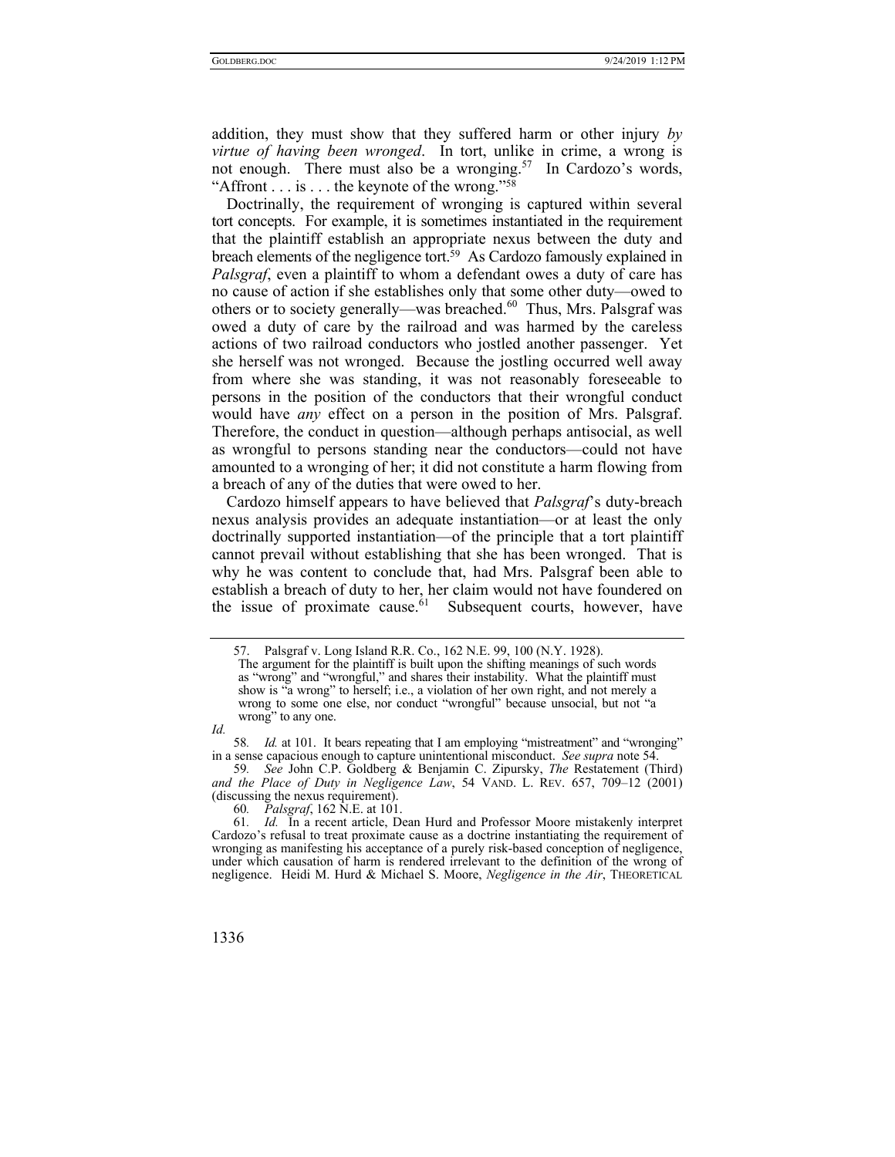addition, they must show that they suffered harm or other injury *by virtue of having been wronged*. In tort, unlike in crime, a wrong is not enough. There must also be a wronging.<sup>57</sup> In Cardozo's words, "Affront  $\ldots$  is  $\ldots$  the keynote of the wrong."<sup>58</sup>

Doctrinally, the requirement of wronging is captured within several tort concepts. For example, it is sometimes instantiated in the requirement that the plaintiff establish an appropriate nexus between the duty and breach elements of the negligence tort.<sup>59</sup> As Cardozo famously explained in *Palsgraf*, even a plaintiff to whom a defendant owes a duty of care has no cause of action if she establishes only that some other duty—owed to others or to society generally—was breached.<sup>60</sup> Thus, Mrs. Palsgraf was owed a duty of care by the railroad and was harmed by the careless actions of two railroad conductors who jostled another passenger. Yet she herself was not wronged. Because the jostling occurred well away from where she was standing, it was not reasonably foreseeable to persons in the position of the conductors that their wrongful conduct would have *any* effect on a person in the position of Mrs. Palsgraf. Therefore, the conduct in question—although perhaps antisocial, as well as wrongful to persons standing near the conductors—could not have amounted to a wronging of her; it did not constitute a harm flowing from a breach of any of the duties that were owed to her.

Cardozo himself appears to have believed that *Palsgraf*'s duty-breach nexus analysis provides an adequate instantiation—or at least the only doctrinally supported instantiation—of the principle that a tort plaintiff cannot prevail without establishing that she has been wronged. That is why he was content to conclude that, had Mrs. Palsgraf been able to establish a breach of duty to her, her claim would not have foundered on the issue of proximate cause. $61$  Subsequent courts, however, have

59*. See* John C.P. Goldberg & Benjamin C. Zipursky, *The* Restatement (Third) *and the Place of Duty in Negligence Law*, 54 VAND. L. REV. 657, 709–12 (2001) (discussing the nexus requirement).

60*. Palsgraf*, 162 N.E. at 101.

61*. Id.* In a recent article, Dean Hurd and Professor Moore mistakenly interpret Cardozo's refusal to treat proximate cause as a doctrine instantiating the requirement of wronging as manifesting his acceptance of a purely risk-based conception of negligence, under which causation of harm is rendered irrelevant to the definition of the wrong of negligence. Heidi M. Hurd & Michael S. Moore, *Negligence in the Air*, THEORETICAL

 <sup>57.</sup> Palsgraf v. Long Island R.R. Co., 162 N.E. 99, 100 (N.Y. 1928). The argument for the plaintiff is built upon the shifting meanings of such words as "wrong" and "wrongful," and shares their instability. What the plaintiff must show is "a wrong" to herself; i.e., a violation of her own right, and not merely a wrong to some one else, nor conduct "wrongful" because unsocial, but not "a wrong" to any one.

*Id.*

<sup>58</sup>*. Id.* at 101. It bears repeating that I am employing "mistreatment" and "wronging" in a sense capacious enough to capture unintentional misconduct. *See supra* note 54.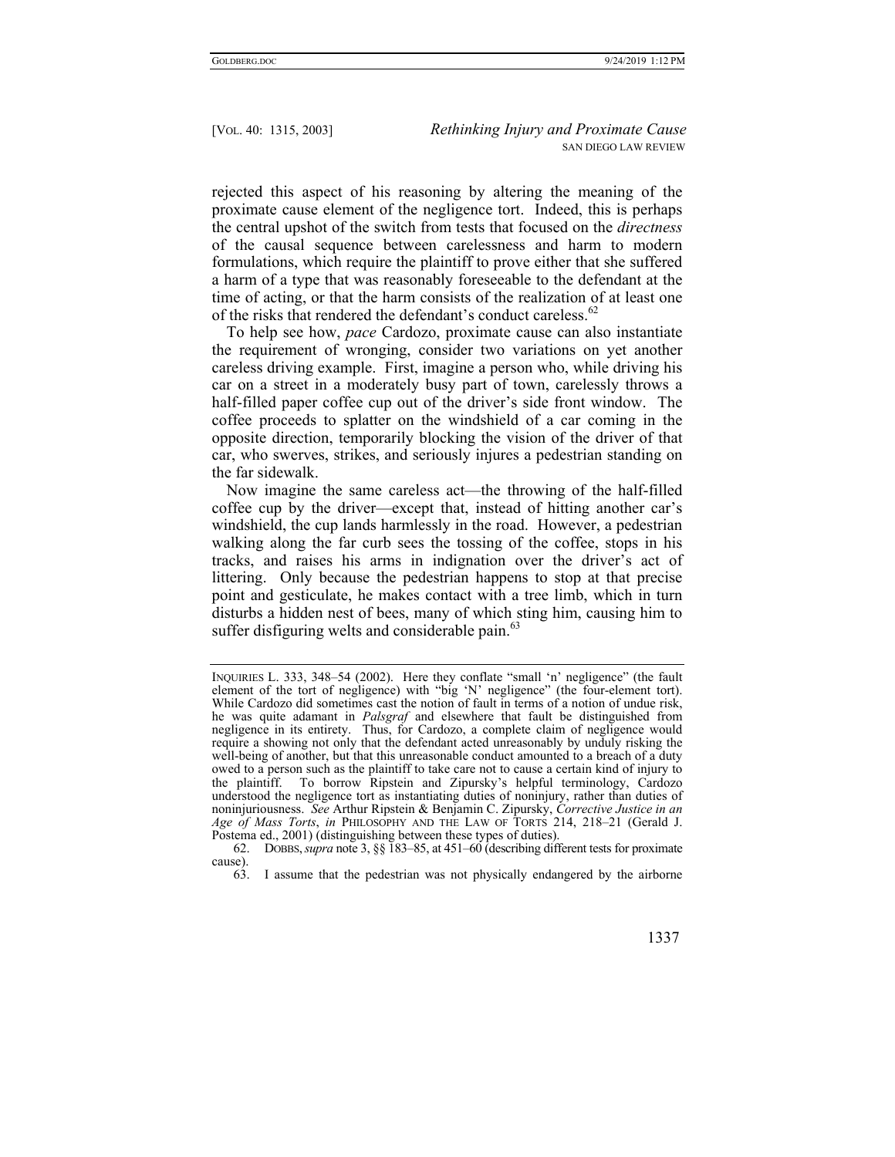rejected this aspect of his reasoning by altering the meaning of the proximate cause element of the negligence tort. Indeed, this is perhaps the central upshot of the switch from tests that focused on the *directness* of the causal sequence between carelessness and harm to modern formulations, which require the plaintiff to prove either that she suffered a harm of a type that was reasonably foreseeable to the defendant at the time of acting, or that the harm consists of the realization of at least one of the risks that rendered the defendant's conduct careless.<sup>62</sup>

To help see how, *pace* Cardozo, proximate cause can also instantiate the requirement of wronging, consider two variations on yet another careless driving example. First, imagine a person who, while driving his car on a street in a moderately busy part of town, carelessly throws a half-filled paper coffee cup out of the driver's side front window. The coffee proceeds to splatter on the windshield of a car coming in the opposite direction, temporarily blocking the vision of the driver of that car, who swerves, strikes, and seriously injures a pedestrian standing on the far sidewalk.

Now imagine the same careless act—the throwing of the half-filled coffee cup by the driver—except that, instead of hitting another car's windshield, the cup lands harmlessly in the road. However, a pedestrian walking along the far curb sees the tossing of the coffee, stops in his tracks, and raises his arms in indignation over the driver's act of littering. Only because the pedestrian happens to stop at that precise point and gesticulate, he makes contact with a tree limb, which in turn disturbs a hidden nest of bees, many of which sting him, causing him to suffer disfiguring welts and considerable pain.<sup>63</sup>

INQUIRIES L. 333, 348–54 (2002). Here they conflate "small 'n' negligence" (the fault element of the tort of negligence) with "big 'N' negligence" (the four-element tort). While Cardozo did sometimes cast the notion of fault in terms of a notion of undue risk, he was quite adamant in *Palsgraf* and elsewhere that fault be distinguished from negligence in its entirety. Thus, for Cardozo, a complete claim of negligence would require a showing not only that the defendant acted unreasonably by unduly risking the well-being of another, but that this unreasonable conduct amounted to a breach of a duty owed to a person such as the plaintiff to take care not to cause a certain kind of injury to the plaintiff. To borrow Ripstein and Zipursky's helpful terminology, Cardozo understood the negligence tort as instantiating duties of noninjury, rather than duties of noninjuriousness. *See* Arthur Ripstein & Benjamin C. Zipursky, *Corrective Justice in an Age of Mass Torts*, *in* PHILOSOPHY AND THE LAW OF TORTS 214, 218–21 (Gerald J. Postema ed., 2001) (distinguishing between these types of duties).

 <sup>62.</sup> DOBBS,*supra* note 3, §§ 183–85, at 451–60 (describing different tests for proximate cause).

 <sup>63.</sup> I assume that the pedestrian was not physically endangered by the airborne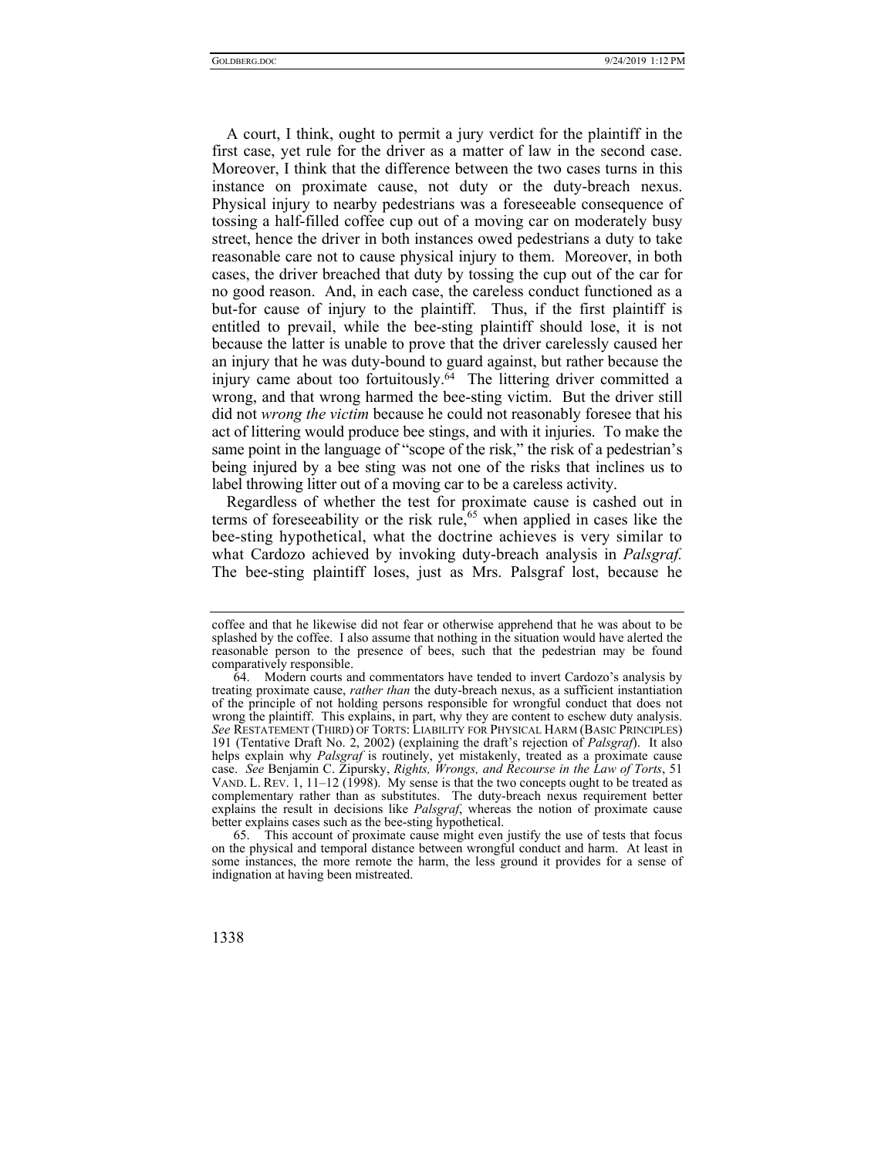A court, I think, ought to permit a jury verdict for the plaintiff in the first case, yet rule for the driver as a matter of law in the second case. Moreover, I think that the difference between the two cases turns in this instance on proximate cause, not duty or the duty-breach nexus. Physical injury to nearby pedestrians was a foreseeable consequence of tossing a half-filled coffee cup out of a moving car on moderately busy street, hence the driver in both instances owed pedestrians a duty to take reasonable care not to cause physical injury to them. Moreover, in both cases, the driver breached that duty by tossing the cup out of the car for no good reason. And, in each case, the careless conduct functioned as a but-for cause of injury to the plaintiff. Thus, if the first plaintiff is entitled to prevail, while the bee-sting plaintiff should lose, it is not because the latter is unable to prove that the driver carelessly caused her an injury that he was duty-bound to guard against, but rather because the injury came about too fortuitously.64 The littering driver committed a wrong, and that wrong harmed the bee-sting victim. But the driver still did not *wrong the victim* because he could not reasonably foresee that his act of littering would produce bee stings, and with it injuries. To make the same point in the language of "scope of the risk," the risk of a pedestrian's being injured by a bee sting was not one of the risks that inclines us to label throwing litter out of a moving car to be a careless activity.

Regardless of whether the test for proximate cause is cashed out in terms of foreseeability or the risk rule,<sup>65</sup> when applied in cases like the bee-sting hypothetical, what the doctrine achieves is very similar to what Cardozo achieved by invoking duty-breach analysis in *Palsgraf.* The bee-sting plaintiff loses, just as Mrs. Palsgraf lost, because he

coffee and that he likewise did not fear or otherwise apprehend that he was about to be splashed by the coffee. I also assume that nothing in the situation would have alerted the reasonable person to the presence of bees, such that the pedestrian may be found comparatively responsible.

 <sup>64.</sup> Modern courts and commentators have tended to invert Cardozo's analysis by treating proximate cause, *rather than* the duty-breach nexus, as a sufficient instantiation of the principle of not holding persons responsible for wrongful conduct that does not wrong the plaintiff. This explains, in part, why they are content to eschew duty analysis. *See* RESTATEMENT (THIRD) OF TORTS: LIABILITY FOR PHYSICAL HARM (BASIC PRINCIPLES) 191 (Tentative Draft No. 2, 2002) (explaining the draft's rejection of *Palsgraf*). It also helps explain why *Palsgraf* is routinely, yet mistakenly, treated as a proximate cause case. *See* Benjamin C. Zipursky, *Rights, Wrongs, and Recourse in the Law of Torts*, 51 VAND. L. REV. 1, 11–12 (1998). My sense is that the two concepts ought to be treated as complementary rather than as substitutes. The duty-breach nexus requirement better explains the result in decisions like *Palsgraf*, whereas the notion of proximate cause better explains cases such as the bee-sting hypothetical.

 <sup>65.</sup> This account of proximate cause might even justify the use of tests that focus on the physical and temporal distance between wrongful conduct and harm. At least in some instances, the more remote the harm, the less ground it provides for a sense of indignation at having been mistreated.

<sup>1338</sup>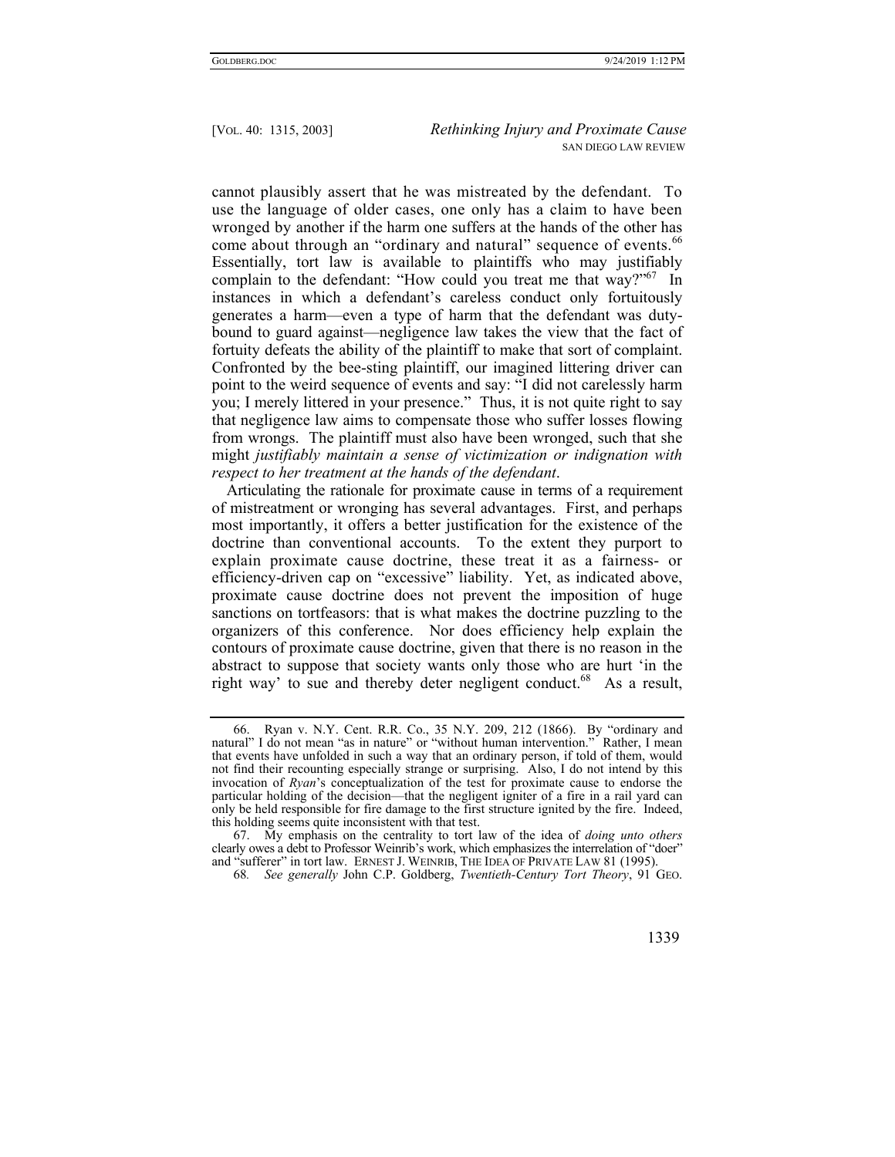cannot plausibly assert that he was mistreated by the defendant. To use the language of older cases, one only has a claim to have been wronged by another if the harm one suffers at the hands of the other has come about through an "ordinary and natural" sequence of events.<sup>66</sup> Essentially, tort law is available to plaintiffs who may justifiably complain to the defendant: "How could you treat me that way?"<sup>67</sup> In instances in which a defendant's careless conduct only fortuitously generates a harm—even a type of harm that the defendant was dutybound to guard against—negligence law takes the view that the fact of fortuity defeats the ability of the plaintiff to make that sort of complaint. Confronted by the bee-sting plaintiff, our imagined littering driver can point to the weird sequence of events and say: "I did not carelessly harm you; I merely littered in your presence." Thus, it is not quite right to say that negligence law aims to compensate those who suffer losses flowing from wrongs. The plaintiff must also have been wronged, such that she might *justifiably maintain a sense of victimization or indignation with respect to her treatment at the hands of the defendant*.

Articulating the rationale for proximate cause in terms of a requirement of mistreatment or wronging has several advantages. First, and perhaps most importantly, it offers a better justification for the existence of the doctrine than conventional accounts. To the extent they purport to explain proximate cause doctrine, these treat it as a fairness- or efficiency-driven cap on "excessive" liability. Yet, as indicated above, proximate cause doctrine does not prevent the imposition of huge sanctions on tortfeasors: that is what makes the doctrine puzzling to the organizers of this conference. Nor does efficiency help explain the contours of proximate cause doctrine, given that there is no reason in the abstract to suppose that society wants only those who are hurt 'in the right way' to sue and thereby deter negligent conduct.<sup>68</sup> As a result,

 <sup>66.</sup> Ryan v. N.Y. Cent. R.R. Co., 35 N.Y. 209, 212 (1866). By "ordinary and natural" I do not mean "as in nature" or "without human intervention." Rather, I mean that events have unfolded in such a way that an ordinary person, if told of them, would not find their recounting especially strange or surprising. Also, I do not intend by this invocation of *Ryan*'s conceptualization of the test for proximate cause to endorse the particular holding of the decision—that the negligent igniter of a fire in a rail yard can only be held responsible for fire damage to the first structure ignited by the fire. Indeed, this holding seems quite inconsistent with that test.

 <sup>67.</sup> My emphasis on the centrality to tort law of the idea of *doing unto others* clearly owes a debt to Professor Weinrib's work, which emphasizes the interrelation of "doer" and "sufferer" in tort law. ERNEST J. WEINRIB, THE IDEA OF PRIVATE LAW 81 (1995).

<sup>68</sup>*. See generally* John C.P. Goldberg, *Twentieth-Century Tort Theory*, 91 GEO.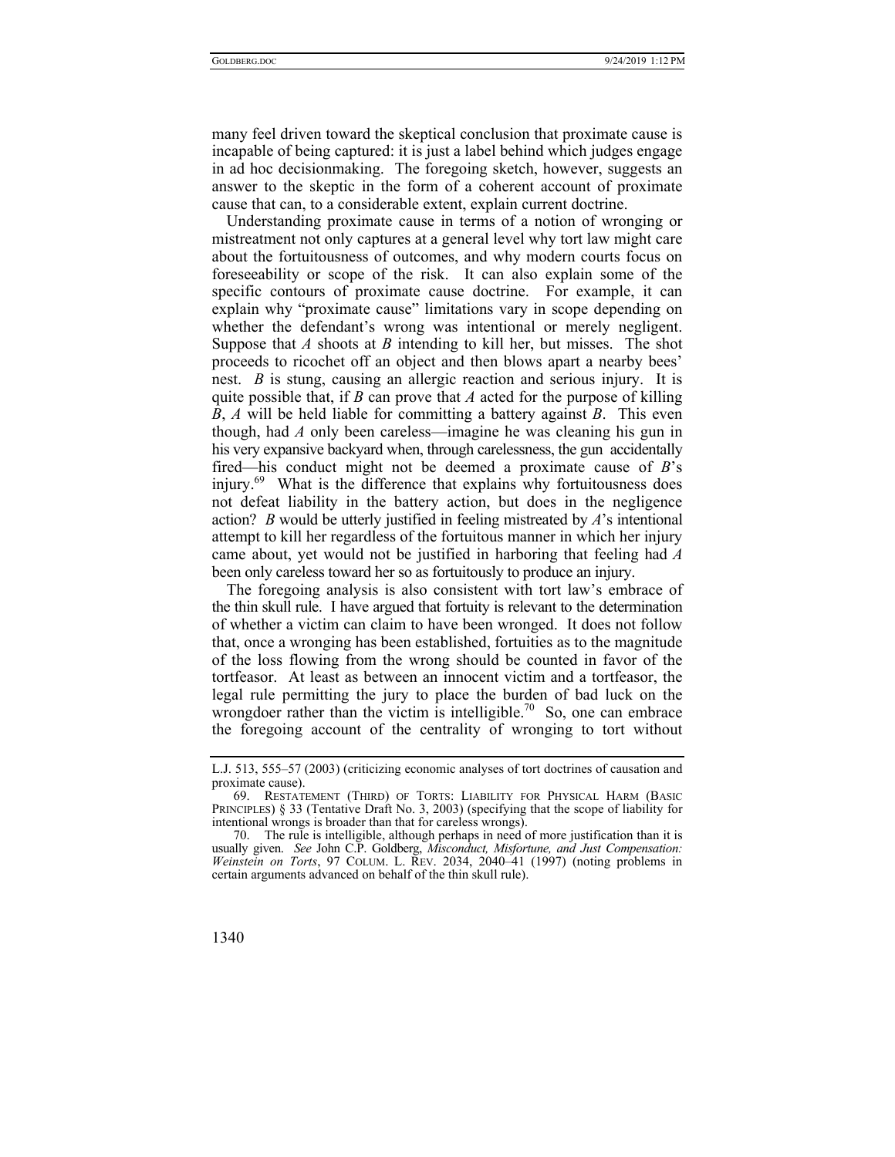many feel driven toward the skeptical conclusion that proximate cause is incapable of being captured: it is just a label behind which judges engage in ad hoc decisionmaking. The foregoing sketch, however, suggests an answer to the skeptic in the form of a coherent account of proximate cause that can, to a considerable extent, explain current doctrine.

Understanding proximate cause in terms of a notion of wronging or mistreatment not only captures at a general level why tort law might care about the fortuitousness of outcomes, and why modern courts focus on foreseeability or scope of the risk. It can also explain some of the specific contours of proximate cause doctrine. For example, it can explain why "proximate cause" limitations vary in scope depending on whether the defendant's wrong was intentional or merely negligent. Suppose that *A* shoots at *B* intending to kill her, but misses. The shot proceeds to ricochet off an object and then blows apart a nearby bees' nest. *B* is stung, causing an allergic reaction and serious injury. It is quite possible that, if *B* can prove that *A* acted for the purpose of killing *B*, *A* will be held liable for committing a battery against *B*. This even though, had *A* only been careless—imagine he was cleaning his gun in his very expansive backyard when, through carelessness, the gun accidentally fired—his conduct might not be deemed a proximate cause of *B*'s injury. $69$  What is the difference that explains why fortuitousness does not defeat liability in the battery action, but does in the negligence action? *B* would be utterly justified in feeling mistreated by *A*'s intentional attempt to kill her regardless of the fortuitous manner in which her injury came about, yet would not be justified in harboring that feeling had *A* been only careless toward her so as fortuitously to produce an injury.

The foregoing analysis is also consistent with tort law's embrace of the thin skull rule. I have argued that fortuity is relevant to the determination of whether a victim can claim to have been wronged. It does not follow that, once a wronging has been established, fortuities as to the magnitude of the loss flowing from the wrong should be counted in favor of the tortfeasor. At least as between an innocent victim and a tortfeasor, the legal rule permitting the jury to place the burden of bad luck on the wrongdoer rather than the victim is intelligible.<sup>70</sup> So, one can embrace the foregoing account of the centrality of wronging to tort without

L.J. 513, 555–57 (2003) (criticizing economic analyses of tort doctrines of causation and proximate cause).

 <sup>69.</sup> RESTATEMENT (THIRD) OF TORTS: LIABILITY FOR PHYSICAL HARM (BASIC PRINCIPLES) § 33 (Tentative Draft No. 3, 2003) (specifying that the scope of liability for intentional wrongs is broader than that for careless wrongs).

 <sup>70.</sup> The rule is intelligible, although perhaps in need of more justification than it is usually given. *See* John C.P. Goldberg, *Misconduct, Misfortune, and Just Compensation: Weinstein on Torts*, 97 COLUM. L. REV. 2034, 2040–41 (1997) (noting problems in certain arguments advanced on behalf of the thin skull rule).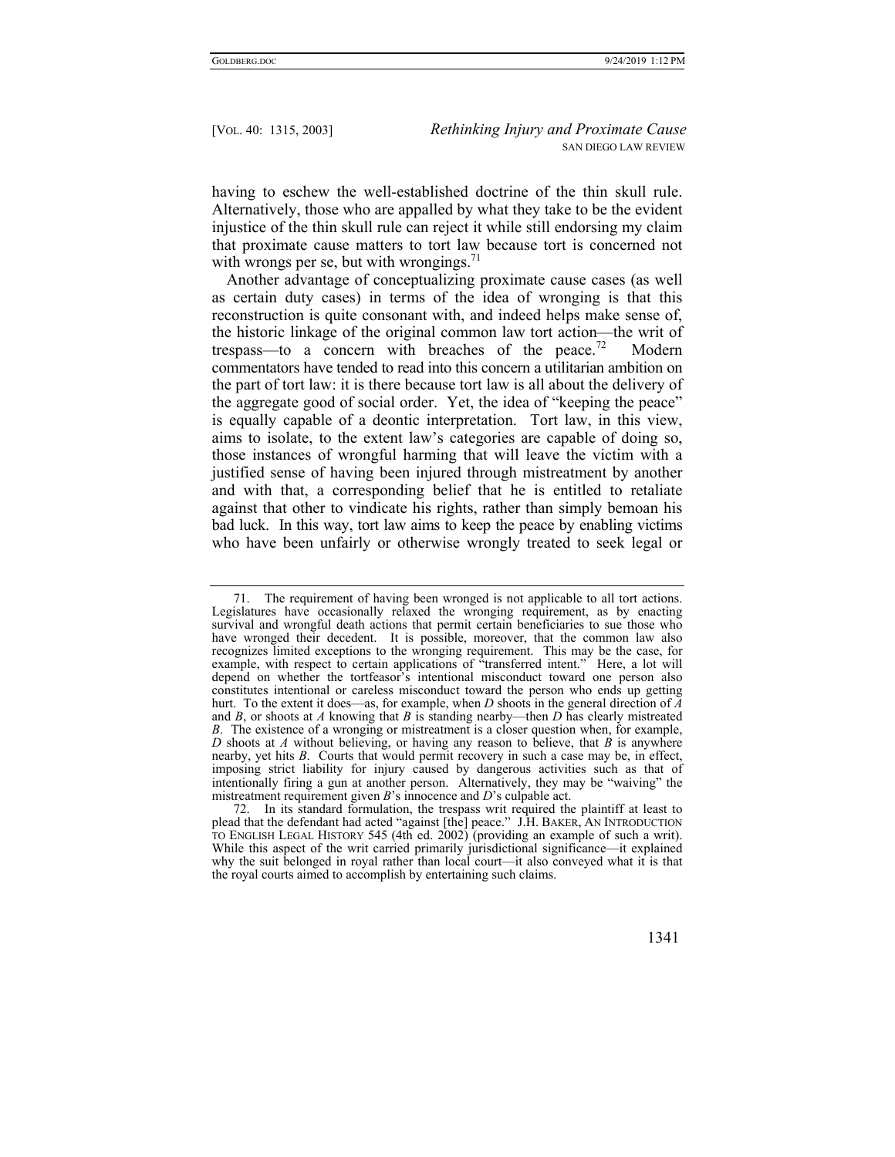having to eschew the well-established doctrine of the thin skull rule. Alternatively, those who are appalled by what they take to be the evident injustice of the thin skull rule can reject it while still endorsing my claim that proximate cause matters to tort law because tort is concerned not with wrongs per se, but with wrongings.<sup>71</sup>

Another advantage of conceptualizing proximate cause cases (as well as certain duty cases) in terms of the idea of wronging is that this reconstruction is quite consonant with, and indeed helps make sense of, the historic linkage of the original common law tort action—the writ of trespass—to a concern with breaches of the peace.<sup>72</sup> Modern commentators have tended to read into this concern a utilitarian ambition on the part of tort law: it is there because tort law is all about the delivery of the aggregate good of social order. Yet, the idea of "keeping the peace" is equally capable of a deontic interpretation. Tort law, in this view, aims to isolate, to the extent law's categories are capable of doing so, those instances of wrongful harming that will leave the victim with a justified sense of having been injured through mistreatment by another and with that, a corresponding belief that he is entitled to retaliate against that other to vindicate his rights, rather than simply bemoan his bad luck. In this way, tort law aims to keep the peace by enabling victims who have been unfairly or otherwise wrongly treated to seek legal or

 <sup>72.</sup> In its standard formulation, the trespass writ required the plaintiff at least to plead that the defendant had acted "against [the] peace." J.H. BAKER, AN INTRODUCTION TO ENGLISH LEGAL HISTORY 545 (4th ed. 2002) (providing an example of such a writ). While this aspect of the writ carried primarily jurisdictional significance—it explained why the suit belonged in royal rather than local court—it also conveyed what it is that the royal courts aimed to accomplish by entertaining such claims.



 <sup>71.</sup> The requirement of having been wronged is not applicable to all tort actions. Legislatures have occasionally relaxed the wronging requirement, as by enacting survival and wrongful death actions that permit certain beneficiaries to sue those who have wronged their decedent. It is possible, moreover, that the common law also recognizes limited exceptions to the wronging requirement. This may be the case, for example, with respect to certain applications of "transferred intent." Here, a lot will depend on whether the tortfeasor's intentional misconduct toward one person also constitutes intentional or careless misconduct toward the person who ends up getting hurt. To the extent it does—as, for example, when *D* shoots in the general direction of *A* and *B*, or shoots at *A* knowing that *B* is standing nearby—then *D* has clearly mistreated *B*. The existence of a wronging or mistreatment is a closer question when, for example, *D* shoots at *A* without believing, or having any reason to believe, that *B* is anywhere nearby, yet hits *B*. Courts that would permit recovery in such a case may be, in effect, imposing strict liability for injury caused by dangerous activities such as that of intentionally firing a gun at another person. Alternatively, they may be "waiving" the mistreatment requirement given *B*'s innocence and *D*'s culpable act.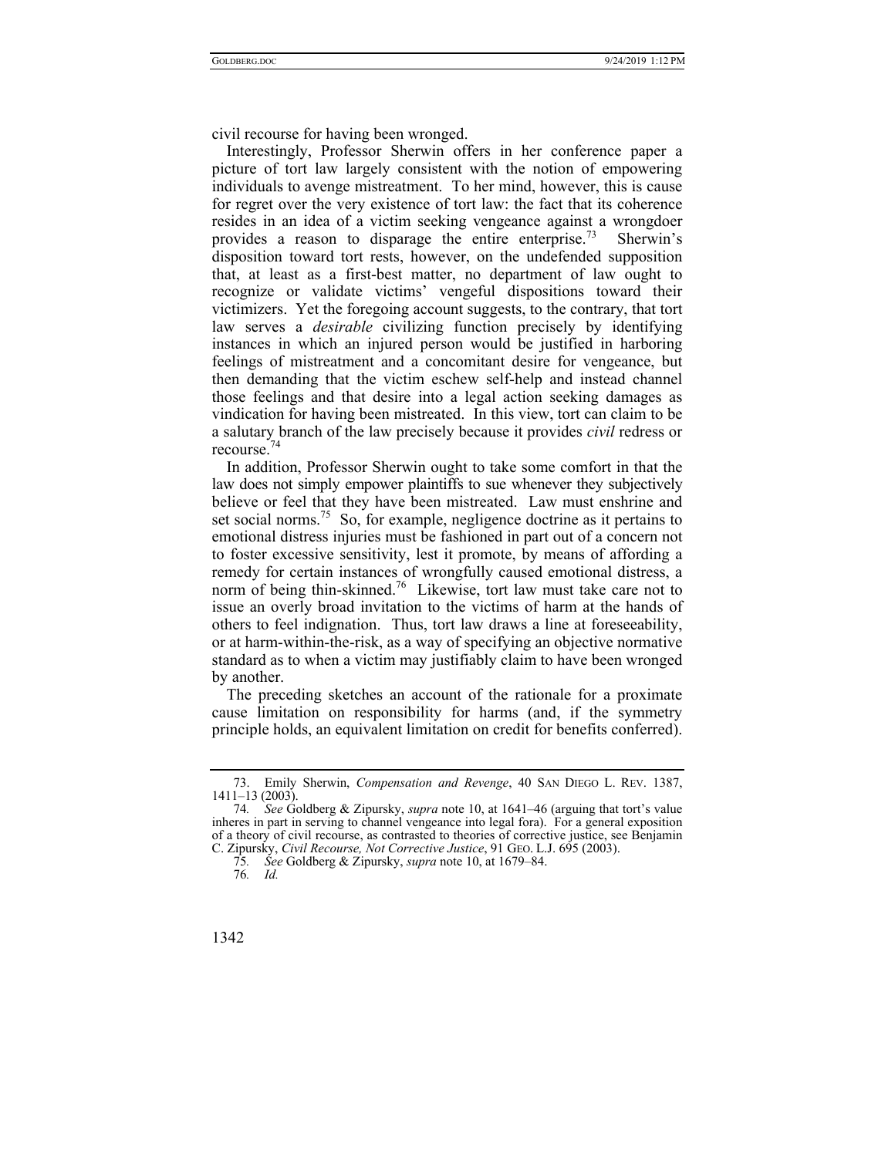civil recourse for having been wronged.

Interestingly, Professor Sherwin offers in her conference paper a picture of tort law largely consistent with the notion of empowering individuals to avenge mistreatment. To her mind, however, this is cause for regret over the very existence of tort law: the fact that its coherence resides in an idea of a victim seeking vengeance against a wrongdoer provides a reason to disparage the entire enterprise.<sup>73</sup> Sherwin's provides a reason to disparage the entire enterprise.<sup>73</sup> disposition toward tort rests, however, on the undefended supposition that, at least as a first-best matter, no department of law ought to recognize or validate victims' vengeful dispositions toward their victimizers. Yet the foregoing account suggests, to the contrary, that tort law serves a *desirable* civilizing function precisely by identifying instances in which an injured person would be justified in harboring feelings of mistreatment and a concomitant desire for vengeance, but then demanding that the victim eschew self-help and instead channel those feelings and that desire into a legal action seeking damages as vindication for having been mistreated. In this view, tort can claim to be a salutary branch of the law precisely because it provides *civil* redress or recourse.<sup>74</sup>

In addition, Professor Sherwin ought to take some comfort in that the law does not simply empower plaintiffs to sue whenever they subjectively believe or feel that they have been mistreated. Law must enshrine and set social norms.<sup>75</sup> So, for example, negligence doctrine as it pertains to emotional distress injuries must be fashioned in part out of a concern not to foster excessive sensitivity, lest it promote, by means of affording a remedy for certain instances of wrongfully caused emotional distress, a norm of being thin-skinned.<sup>76</sup> Likewise, tort law must take care not to issue an overly broad invitation to the victims of harm at the hands of others to feel indignation. Thus, tort law draws a line at foreseeability, or at harm-within-the-risk, as a way of specifying an objective normative standard as to when a victim may justifiably claim to have been wronged by another.

The preceding sketches an account of the rationale for a proximate cause limitation on responsibility for harms (and, if the symmetry principle holds, an equivalent limitation on credit for benefits conferred).

 <sup>73.</sup> Emily Sherwin, *Compensation and Revenge*, 40 SAN DIEGO L. REV. 1387, 1411–13 (2003).

<sup>74</sup>*. See* Goldberg & Zipursky, *supra* note 10, at 1641–46 (arguing that tort's value inheres in part in serving to channel vengeance into legal fora). For a general exposition of a theory of civil recourse, as contrasted to theories of corrective justice, see Benjamin C. Zipursky, *Civil Recourse, Not Corrective Justice*, 91 GEO. L.J. 695 (2003).

<sup>75</sup>*. See* Goldberg & Zipursky, *supra* note 10, at 1679–84.

<sup>76</sup>*. Id.*